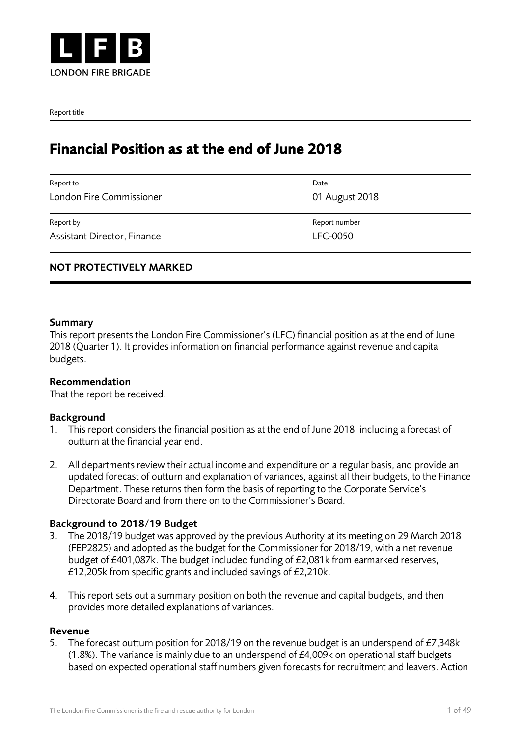

Report title

# Financial Position as at the end of June 2018

| Date           |
|----------------|
| 01 August 2018 |
| Report number  |
| LFC-0050       |
|                |

# NOT PROTECTIVELY MARKED

#### Summary

This report presents the London Fire Commissioner's (LFC) financial position as at the end of June 2018 (Quarter 1). It provides information on financial performance against revenue and capital budgets.

#### Recommendation

That the report be received.

#### Background

- 1. This report considers the financial position as at the end of June 2018, including a forecast of outturn at the financial year end.
- 2. All departments review their actual income and expenditure on a regular basis, and provide an updated forecast of outturn and explanation of variances, against all their budgets, to the Finance Department. These returns then form the basis of reporting to the Corporate Service's Directorate Board and from there on to the Commissioner's Board.

#### Background to 2018/19 Budget

- 3. The 2018/19 budget was approved by the previous Authority at its meeting on 29 March 2018 (FEP2825) and adopted as the budget for the Commissioner for 2018/19, with a net revenue budget of £401,087k. The budget included funding of £2,081k from earmarked reserves, £12,205k from specific grants and included savings of £2,210k.
- 4. This report sets out a summary position on both the revenue and capital budgets, and then provides more detailed explanations of variances.

#### **Revenue**

5. The forecast outturn position for 2018/19 on the revenue budget is an underspend of £7,348k (1.8%). The variance is mainly due to an underspend of £4,009k on operational staff budgets based on expected operational staff numbers given forecasts for recruitment and leavers. Action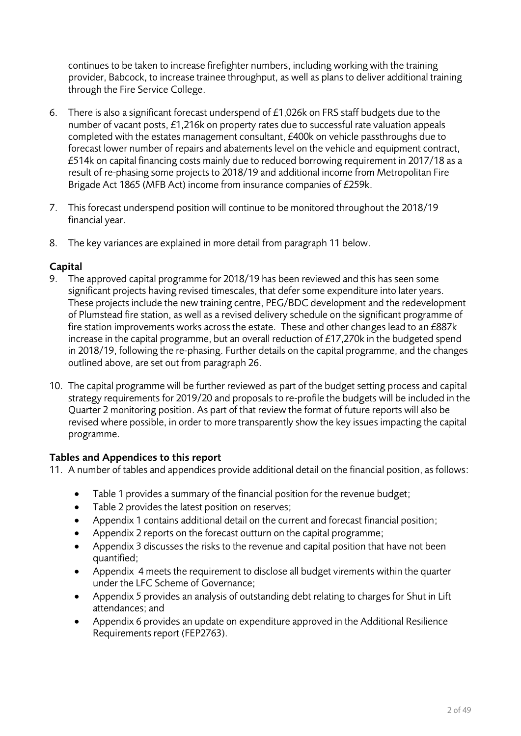continues to be taken to increase firefighter numbers, including working with the training provider, Babcock, to increase trainee throughput, as well as plans to deliver additional training through the Fire Service College.

- 6. There is also a significant forecast underspend of £1,026k on FRS staff budgets due to the number of vacant posts, £1,216k on property rates due to successful rate valuation appeals completed with the estates management consultant, £400k on vehicle passthroughs due to forecast lower number of repairs and abatements level on the vehicle and equipment contract, £514k on capital financing costs mainly due to reduced borrowing requirement in 2017/18 as a result of re-phasing some projects to 2018/19 and additional income from Metropolitan Fire Brigade Act 1865 (MFB Act) income from insurance companies of £259k.
- 7. This forecast underspend position will continue to be monitored throughout the 2018/19 financial year.
- 8. The key variances are explained in more detail from paragraph 11 below.

# **Capital**

- 9. The approved capital programme for 2018/19 has been reviewed and this has seen some significant projects having revised timescales, that defer some expenditure into later years. These projects include the new training centre, PEG/BDC development and the redevelopment of Plumstead fire station, as well as a revised delivery schedule on the significant programme of fire station improvements works across the estate. These and other changes lead to an £887k increase in the capital programme, but an overall reduction of £17,270k in the budgeted spend in 2018/19, following the re-phasing. Further details on the capital programme, and the changes outlined above, are set out from paragraph 26.
- 10. The capital programme will be further reviewed as part of the budget setting process and capital strategy requirements for 2019/20 and proposals to re-profile the budgets will be included in the Quarter 2 monitoring position. As part of that review the format of future reports will also be revised where possible, in order to more transparently show the key issues impacting the capital programme.

# **Tables and Appendices to this report**

- 11. A number of tables and appendices provide additional detail on the financial position, as follows:
	- Table 1 provides a summary of the financial position for the revenue budget;
	- Table 2 provides the latest position on reserves;
	- Appendix 1 contains additional detail on the current and forecast financial position;
	- Appendix 2 reports on the forecast outturn on the capital programme;
	- Appendix 3 discusses the risks to the revenue and capital position that have not been quantified;
	- Appendix 4 meets the requirement to disclose all budget virements within the quarter under the LFC Scheme of Governance;
	- Appendix 5 provides an analysis of outstanding debt relating to charges for Shut in Lift attendances; and
	- Appendix 6 provides an update on expenditure approved in the Additional Resilience Requirements report (FEP2763).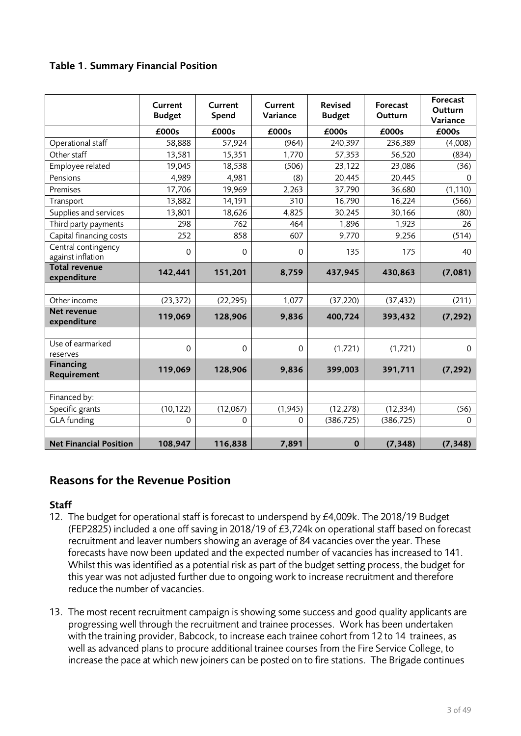# **Table 1. Summary Financial Position**

|                                          | Current<br><b>Budget</b> | Current<br>Spend | Current<br>Variance | <b>Revised</b><br><b>Budget</b> | Forecast<br>Outturn | Forecast<br>Outturn<br>Variance |
|------------------------------------------|--------------------------|------------------|---------------------|---------------------------------|---------------------|---------------------------------|
|                                          | £000s                    | £000s            | £000s               | £000s                           | £000s               | £000s                           |
| Operational staff                        | 58,888                   | 57,924           | (964)               | 240,397                         | 236,389             | (4,008)                         |
| Other staff                              | 13,581                   | 15,351           | 1,770               | 57,353                          | 56,520              | (834)                           |
| Employee related                         | 19,045                   | 18,538           | (506)               | 23,122                          | 23,086              | (36)                            |
| Pensions                                 | 4,989                    | 4,981            | (8)                 | 20,445                          | 20,445              | $\Omega$                        |
| Premises                                 | 17,706                   | 19,969           | 2,263               | 37,790                          | 36,680              | (1, 110)                        |
| Transport                                | 13,882                   | 14,191           | 310                 | 16,790                          | 16,224              | (566)                           |
| Supplies and services                    | 13,801                   | 18,626           | 4,825               | 30,245                          | 30,166              | (80)                            |
| Third party payments                     | 298                      | 762              | 464                 | 1,896                           | 1,923               | 26                              |
| Capital financing costs                  | 252                      | 858              | 607                 | 9,770                           | 9,256               | (514)                           |
| Central contingency<br>against inflation | 0                        | $\mathbf 0$      | 0                   | 135                             | 175                 | 40                              |
| <b>Total revenue</b><br>expenditure      | 142,441                  | 151,201          | 8,759               | 437,945                         | 430,863             | (7,081)                         |
|                                          |                          |                  |                     |                                 |                     |                                 |
| Other income                             | (23, 372)                | (22, 295)        | 1,077               | (37, 220)                       | (37, 432)           | (211)                           |
| Net revenue<br>expenditure               | 119,069                  | 128,906          | 9,836               | 400,724                         | 393,432             | (7, 292)                        |
|                                          |                          |                  |                     |                                 |                     |                                 |
| Use of earmarked<br>reserves             | $\mathsf{O}\xspace$      | 0                | $\mathbf 0$         | (1,721)                         | (1,721)             | 0                               |
| <b>Financing</b><br>Requirement          | 119,069                  | 128,906          | 9,836               | 399,003                         | 391,711             | (7, 292)                        |
|                                          |                          |                  |                     |                                 |                     |                                 |
| Financed by:                             |                          |                  |                     |                                 |                     |                                 |
| Specific grants                          | (10, 122)                | (12,067)         | (1,945)             | (12, 278)                       | (12, 334)           | (56)                            |
| <b>GLA</b> funding                       | $\mathbf 0$              | $\Omega$         | $\Omega$            | (386, 725)                      | (386, 725)          | $\Omega$                        |
|                                          |                          |                  |                     |                                 |                     |                                 |
| <b>Net Financial Position</b>            | 108,947                  | 116,838          | 7,891               | $\bf{0}$                        | (7, 348)            | (7, 348)                        |

# **Reasons for the Revenue Position**

## **Staff**

- 12. The budget for operational staff is forecast to underspend by £4,009k. The 2018/19 Budget (FEP2825) included a one off saving in 2018/19 of £3,724k on operational staff based on forecast recruitment and leaver numbers showing an average of 84 vacancies over the year. These forecasts have now been updated and the expected number of vacancies has increased to 141. Whilst this was identified as a potential risk as part of the budget setting process, the budget for this year was not adjusted further due to ongoing work to increase recruitment and therefore reduce the number of vacancies.
- 13. The most recent recruitment campaign is showing some success and good quality applicants are progressing well through the recruitment and trainee processes. Work has been undertaken with the training provider, Babcock, to increase each trainee cohort from 12 to 14 trainees, as well as advanced plans to procure additional trainee courses from the Fire Service College, to increase the pace at which new joiners can be posted on to fire stations. The Brigade continues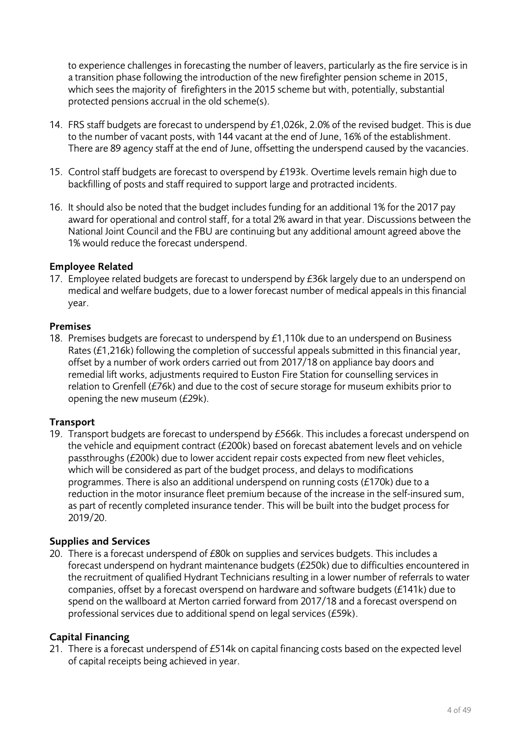to experience challenges in forecasting the number of leavers, particularly as the fire service is in a transition phase following the introduction of the new firefighter pension scheme in 2015, which sees the majority of firefighters in the 2015 scheme but with, potentially, substantial protected pensions accrual in the old scheme(s).

- 14. FRS staff budgets are forecast to underspend by £1,026k, 2.0% of the revised budget. This is due to the number of vacant posts, with 144 vacant at the end of June, 16% of the establishment. There are 89 agency staff at the end of June, offsetting the underspend caused by the vacancies.
- 15. Control staff budgets are forecast to overspend by £193k. Overtime levels remain high due to backfilling of posts and staff required to support large and protracted incidents.
- 16. It should also be noted that the budget includes funding for an additional 1% for the 2017 pay award for operational and control staff, for a total 2% award in that year. Discussions between the National Joint Council and the FBU are continuing but any additional amount agreed above the 1% would reduce the forecast underspend.

## **Employee Related**

17. Employee related budgets are forecast to underspend by £36k largely due to an underspend on medical and welfare budgets, due to a lower forecast number of medical appeals in this financial year.

#### **Premises**

18. Premises budgets are forecast to underspend by £1,110k due to an underspend on Business Rates (£1,216k) following the completion of successful appeals submitted in this financial year, offset by a number of work orders carried out from 2017/18 on appliance bay doors and remedial lift works, adjustments required to Euston Fire Station for counselling services in relation to Grenfell (£76k) and due to the cost of secure storage for museum exhibits prior to opening the new museum (£29k).

# **Transport**

19. Transport budgets are forecast to underspend by £566k. This includes a forecast underspend on the vehicle and equipment contract (£200k) based on forecast abatement levels and on vehicle passthroughs (£200k) due to lower accident repair costs expected from new fleet vehicles, which will be considered as part of the budget process, and delays to modifications programmes. There is also an additional underspend on running costs (£170k) due to a reduction in the motor insurance fleet premium because of the increase in the self-insured sum, as part of recently completed insurance tender. This will be built into the budget process for 2019/20.

## **Supplies and Services**

20. There is a forecast underspend of £80k on supplies and services budgets. This includes a forecast underspend on hydrant maintenance budgets (£250k) due to difficulties encountered in the recruitment of qualified Hydrant Technicians resulting in a lower number of referrals to water companies, offset by a forecast overspend on hardware and software budgets (£141k) due to spend on the wallboard at Merton carried forward from 2017/18 and a forecast overspend on professional services due to additional spend on legal services (£59k).

## **Capital Financing**

21. There is a forecast underspend of £514k on capital financing costs based on the expected level of capital receipts being achieved in year.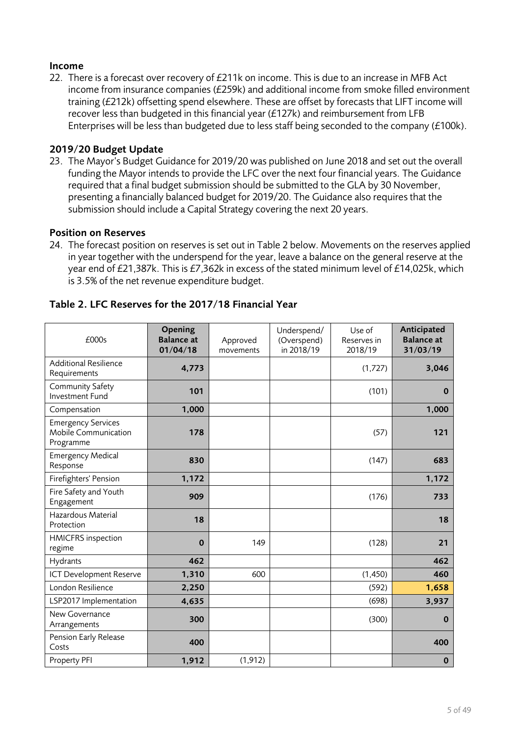## **Income**

22. There is a forecast over recovery of £211k on income. This is due to an increase in MFB Act income from insurance companies (£259k) and additional income from smoke filled environment training (£212k) offsetting spend elsewhere. These are offset by forecasts that LIFT income will recover less than budgeted in this financial year (£127k) and reimbursement from LFB Enterprises will be less than budgeted due to less staff being seconded to the company (£100k).

#### **2019/20 Budget Update**

23. The Mayor's Budget Guidance for 2019/20 was published on June 2018 and set out the overall funding the Mayor intends to provide the LFC over the next four financial years. The Guidance required that a final budget submission should be submitted to the GLA by 30 November, presenting a financially balanced budget for 2019/20. The Guidance also requires that the submission should include a Capital Strategy covering the next 20 years.

#### **Position on Reserves**

24. The forecast position on reserves is set out in Table 2 below. Movements on the reserves applied in year together with the underspend for the year, leave a balance on the general reserve at the year end of £21,387k. This is £7,362k in excess of the stated minimum level of £14,025k, which is 3.5% of the net revenue expenditure budget.

| £000s                                                          | Opening<br><b>Balance</b> at<br>01/04/18 | Approved<br>movements | Underspend/<br>(Overspend)<br>in 2018/19 | Use of<br>Reserves in<br>2018/19 | Anticipated<br><b>Balance</b> at<br>31/03/19 |
|----------------------------------------------------------------|------------------------------------------|-----------------------|------------------------------------------|----------------------------------|----------------------------------------------|
| <b>Additional Resilience</b><br>Requirements                   | 4,773                                    |                       |                                          | (1,727)                          | 3,046                                        |
| Community Safety<br>Investment Fund                            | 101                                      |                       |                                          | (101)                            | $\bf{0}$                                     |
| Compensation                                                   | 1,000                                    |                       |                                          |                                  | 1,000                                        |
| <b>Emergency Services</b><br>Mobile Communication<br>Programme | 178                                      |                       |                                          | (57)                             | 121                                          |
| <b>Emergency Medical</b><br>Response                           | 830                                      |                       |                                          | (147)                            | 683                                          |
| Firefighters' Pension                                          | 1,172                                    |                       |                                          |                                  | 1,172                                        |
| Fire Safety and Youth<br>Engagement                            | 909                                      |                       |                                          | (176)                            | 733                                          |
| Hazardous Material<br>Protection                               | 18                                       |                       |                                          |                                  | 18                                           |
| <b>HMICFRS</b> inspection<br>regime                            | $\bf{0}$                                 | 149                   |                                          | (128)                            | 21                                           |
| Hydrants                                                       | 462                                      |                       |                                          |                                  | 462                                          |
| ICT Development Reserve                                        | 1,310                                    | 600                   |                                          | (1, 450)                         | 460                                          |
| London Resilience                                              | 2,250                                    |                       |                                          | (592)                            | 1,658                                        |
| LSP2017 Implementation                                         | 4,635                                    |                       |                                          | (698)                            | 3,937                                        |
| New Governance<br>Arrangements                                 | 300                                      |                       |                                          | (300)                            | $\bf{0}$                                     |
| Pension Early Release<br>Costs                                 | 400                                      |                       |                                          |                                  | 400                                          |
| Property PFI                                                   | 1,912                                    | (1, 912)              |                                          |                                  | $\bf{0}$                                     |

# **Table 2. LFC Reserves for the 2017/18 Financial Year**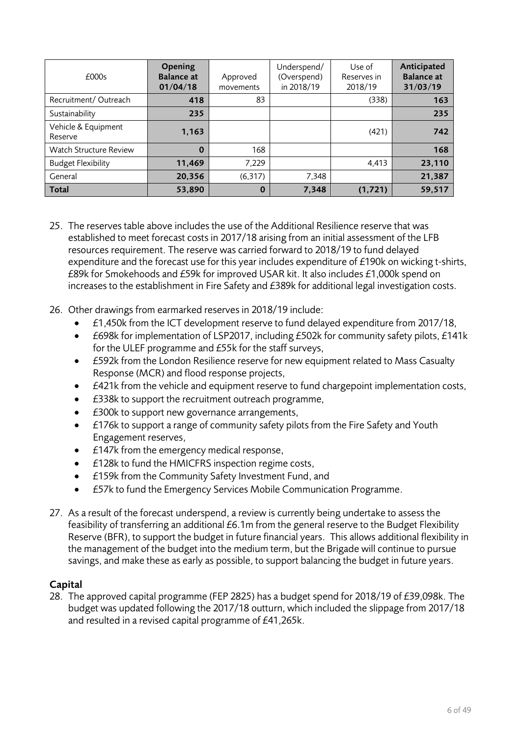| £0005                          | Opening<br><b>Balance at</b><br>01/04/18 | Approved<br>movements | Underspend/<br>(Overspend)<br>in 2018/19 | Use of<br>Reserves in<br>2018/19 | Anticipated<br><b>Balance</b> at<br>31/03/19 |
|--------------------------------|------------------------------------------|-----------------------|------------------------------------------|----------------------------------|----------------------------------------------|
| Recruitment/Outreach           | 418                                      | 83                    |                                          | (338)                            | 163                                          |
| Sustainability                 | 235                                      |                       |                                          |                                  | 235                                          |
| Vehicle & Equipment<br>Reserve | 1,163                                    |                       |                                          | (421)                            | 742                                          |
| <b>Watch Structure Review</b>  | 0                                        | 168                   |                                          |                                  | 168                                          |
| <b>Budget Flexibility</b>      | 11,469                                   | 7,229                 |                                          | 4.413                            | 23,110                                       |
| General                        | 20,356                                   | (6,317)               | 7,348                                    |                                  | 21,387                                       |
| <b>Total</b>                   | 53,890                                   | $\bf{0}$              | 7,348                                    | (1, 721)                         | 59,517                                       |

- 25. The reserves table above includes the use of the Additional Resilience reserve that was established to meet forecast costs in 2017/18 arising from an initial assessment of the LFB resources requirement. The reserve was carried forward to 2018/19 to fund delayed expenditure and the forecast use for this year includes expenditure of £190k on wicking t-shirts, £89k for Smokehoods and £59k for improved USAR kit. It also includes £1,000k spend on increases to the establishment in Fire Safety and £389k for additional legal investigation costs.
- 26. Other drawings from earmarked reserves in 2018/19 include:
	- £1,450k from the ICT development reserve to fund delayed expenditure from 2017/18,
	- £698k for implementation of LSP2017, including £502k for community safety pilots, £141k for the ULEF programme and £55k for the staff surveys,
	- £592k from the London Resilience reserve for new equipment related to Mass Casualty Response (MCR) and flood response projects,
	- £421k from the vehicle and equipment reserve to fund chargepoint implementation costs,
	- £338k to support the recruitment outreach programme,
	- £300k to support new governance arrangements,
	- £176k to support a range of community safety pilots from the Fire Safety and Youth Engagement reserves,
	- £147k from the emergency medical response,
	- £128k to fund the HMICFRS inspection regime costs,
	- £159k from the Community Safety Investment Fund, and
	- £57k to fund the Emergency Services Mobile Communication Programme.
- 27. As a result of the forecast underspend, a review is currently being undertake to assess the feasibility of transferring an additional £6.1m from the general reserve to the Budget Flexibility Reserve (BFR), to support the budget in future financial years. This allows additional flexibility in the management of the budget into the medium term, but the Brigade will continue to pursue savings, and make these as early as possible, to support balancing the budget in future years.

## **Capital**

28. The approved capital programme (FEP 2825) has a budget spend for 2018/19 of £39,098k. The budget was updated following the 2017/18 outturn, which included the slippage from 2017/18 and resulted in a revised capital programme of £41,265k.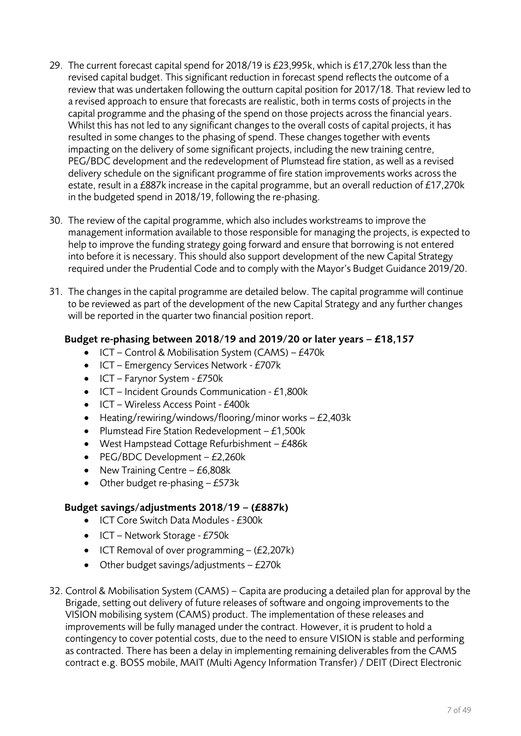- 29. The current forecast capital spend for 2018/19 is £23,995k, which is £17,270k less than the revised capital budget. This significant reduction in forecast spend reflects the outcome of a review that was undertaken following the outturn capital position for 2017/18. That review led to a revised approach to ensure that forecasts are realistic, both in terms costs of projects in the capital programme and the phasing of the spend on those projects across the financial years. Whilst this has not led to any significant changes to the overall costs of capital projects, it has resulted in some changes to the phasing of spend. These changes together with events impacting on the delivery of some significant projects, including the new training centre, PEG/BDC development and the redevelopment of Plumstead fire station, as well as a revised delivery schedule on the significant programme of fire station improvements works across the estate, result in a £887k increase in the capital programme, but an overall reduction of £17,270k in the budgeted spend in 2018/19, following the re-phasing.
- 30. The review of the capital programme, which also includes workstreams to improve the management information available to those responsible for managing the projects, is expected to help to improve the funding strategy going forward and ensure that borrowing is not entered into before it is necessary. This should also support development of the new Capital Strategy required under the Prudential Code and to comply with the Mayor's Budget Guidance 2019/20.
- 31. The changes in the capital programme are detailed below. The capital programme will continue to be reviewed as part of the development of the new Capital Strategy and any further changes will be reported in the quarter two financial position report.

# **Budget re-phasing between 2018/19 and 2019/20 or later years – £18,157**

- $\bullet$  ICT Control & Mobilisation System (CAMS) £470k
- ICT Emergency Services Network £707k
- $\bullet$  ICT Farynor System £750 $k$
- ICT Incident Grounds Communication £1,800k
- ICT Wireless Access Point £400k
- Heating/rewiring/windows/flooring/minor works £2,403k
- Plumstead Fire Station Redevelopment  $-£1,500k$
- West Hampstead Cottage Refurbishment £486k
- $\bullet$  PEG/BDC Development £2,260k
- New Training Centre  $-$  £6,808k
- $\bullet$  Other budget re-phasing  $-$  £573 $k$

# **Budget savings/adjustments 2018/19 – (£887k)**

- ICT Core Switch Data Modules £300k
- $\bullet$  ICT Network Storage £750k
- $\bullet$  ICT Removal of over programming (£2,207k)
- $\bullet$  Other budget savings/adjustments £270 $k$
- 32. Control & Mobilisation System (CAMS) Capita are producing a detailed plan for approval by the Brigade, setting out delivery of future releases of software and ongoing improvements to the VISION mobilising system (CAMS) product. The implementation of these releases and improvements will be fully managed under the contract. However, it is prudent to hold a contingency to cover potential costs, due to the need to ensure VISION is stable and performing as contracted. There has been a delay in implementing remaining deliverables from the CAMS contract e.g. BOSS mobile, MAIT (Multi Agency Information Transfer) / DEIT (Direct Electronic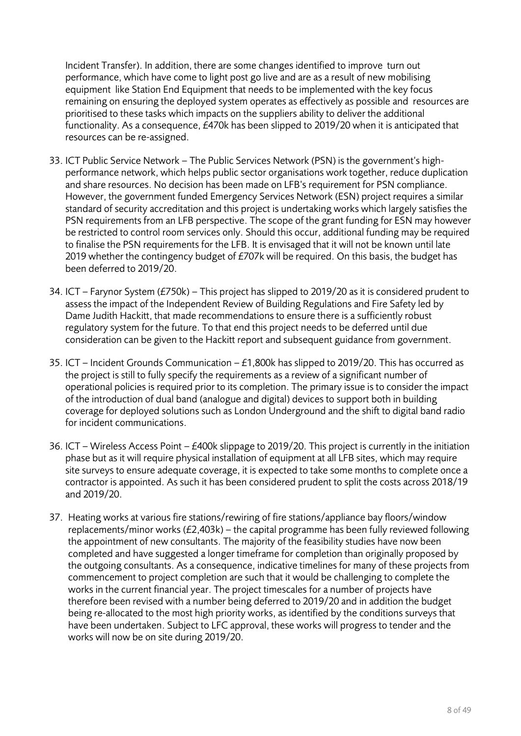Incident Transfer). In addition, there are some changes identified to improve turn out performance, which have come to light post go live and are as a result of new mobilising equipment like Station End Equipment that needs to be implemented with the key focus remaining on ensuring the deployed system operates as effectively as possible and resources are prioritised to these tasks which impacts on the suppliers ability to deliver the additional functionality. As a consequence, £470k has been slipped to 2019/20 when it is anticipated that resources can be re-assigned.

- 33. ICT Public Service Network The Public Services Network (PSN) is the government's highperformance network, which helps public sector organisations work together, reduce duplication and share resources. No decision has been made on LFB's requirement for PSN compliance. However, the government funded Emergency Services Network (ESN) project requires a similar standard of security accreditation and this project is undertaking works which largely satisfies the PSN requirements from an LFB perspective. The scope of the grant funding for ESN may however be restricted to control room services only. Should this occur, additional funding may be required to finalise the PSN requirements for the LFB. It is envisaged that it will not be known until late 2019 whether the contingency budget of £707k will be required. On this basis, the budget has been deferred to 2019/20.
- 34. ICT Farynor System (£750k) This project has slipped to 2019/20 as it is considered prudent to assess the impact of the Independent Review of Building Regulations and Fire Safety led by Dame Judith Hackitt, that made recommendations to ensure there is a sufficiently robust regulatory system for the future. To that end this project needs to be deferred until due consideration can be given to the Hackitt report and subsequent guidance from government.
- 35. ICT Incident Grounds Communication £1,800k has slipped to 2019/20. This has occurred as the project is still to fully specify the requirements as a review of a significant number of operational policies is required prior to its completion. The primary issue is to consider the impact of the introduction of dual band (analogue and digital) devices to support both in building coverage for deployed solutions such as London Underground and the shift to digital band radio for incident communications.
- 36. ICT Wireless Access Point £400k slippage to 2019/20. This project is currently in the initiation phase but as it will require physical installation of equipment at all LFB sites, which may require site surveys to ensure adequate coverage, it is expected to take some months to complete once a contractor is appointed. As such it has been considered prudent to split the costs across 2018/19 and 2019/20.
- 37. Heating works at various fire stations/rewiring of fire stations/appliance bay floors/window replacements/minor works  $(E2,403k)$  – the capital programme has been fully reviewed following the appointment of new consultants. The majority of the feasibility studies have now been completed and have suggested a longer timeframe for completion than originally proposed by the outgoing consultants. As a consequence, indicative timelines for many of these projects from commencement to project completion are such that it would be challenging to complete the works in the current financial year. The project timescales for a number of projects have therefore been revised with a number being deferred to 2019/20 and in addition the budget being re-allocated to the most high priority works, as identified by the conditions surveys that have been undertaken. Subject to LFC approval, these works will progress to tender and the works will now be on site during 2019/20.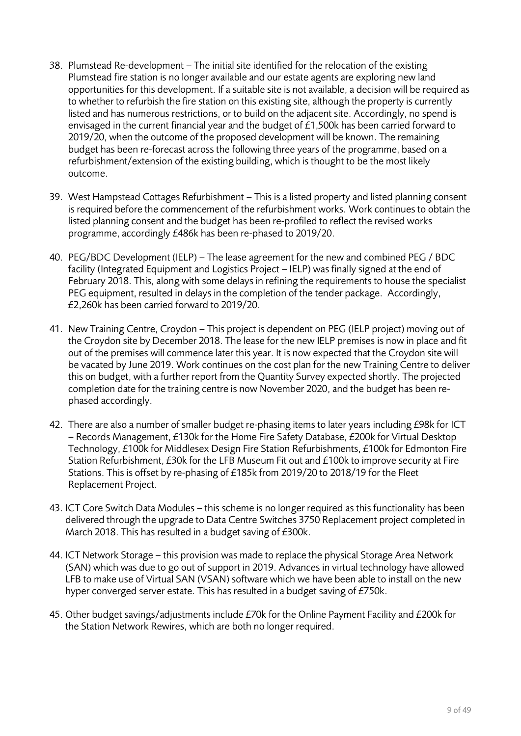- 38. Plumstead Re-development The initial site identified for the relocation of the existing Plumstead fire station is no longer available and our estate agents are exploring new land opportunities for this development. If a suitable site is not available, a decision will be required as to whether to refurbish the fire station on this existing site, although the property is currently listed and has numerous restrictions, or to build on the adjacent site. Accordingly, no spend is envisaged in the current financial year and the budget of £1,500k has been carried forward to 2019/20, when the outcome of the proposed development will be known. The remaining budget has been re-forecast across the following three years of the programme, based on a refurbishment/extension of the existing building, which is thought to be the most likely outcome.
- 39. West Hampstead Cottages Refurbishment This is a listed property and listed planning consent is required before the commencement of the refurbishment works. Work continues to obtain the listed planning consent and the budget has been re-profiled to reflect the revised works programme, accordingly £486k has been re-phased to 2019/20.
- 40. PEG/BDC Development (IELP) The lease agreement for the new and combined PEG / BDC facility (Integrated Equipment and Logistics Project – IELP) was finally signed at the end of February 2018. This, along with some delays in refining the requirements to house the specialist PEG equipment, resulted in delays in the completion of the tender package. Accordingly, £2,260k has been carried forward to 2019/20.
- 41. New Training Centre, Croydon This project is dependent on PEG (IELP project) moving out of the Croydon site by December 2018. The lease for the new IELP premises is now in place and fit out of the premises will commence later this year. It is now expected that the Croydon site will be vacated by June 2019. Work continues on the cost plan for the new Training Centre to deliver this on budget, with a further report from the Quantity Survey expected shortly. The projected completion date for the training centre is now November 2020, and the budget has been rephased accordingly.
- 42. There are also a number of smaller budget re-phasing items to later years including £98k for ICT – Records Management, £130k for the Home Fire Safety Database, £200k for Virtual Desktop Technology, £100k for Middlesex Design Fire Station Refurbishments, £100k for Edmonton Fire Station Refurbishment, £30k for the LFB Museum Fit out and £100k to improve security at Fire Stations. This is offset by re-phasing of £185k from 2019/20 to 2018/19 for the Fleet Replacement Project.
- 43. ICT Core Switch Data Modules this scheme is no longer required as this functionality has been delivered through the upgrade to Data Centre Switches 3750 Replacement project completed in March 2018. This has resulted in a budget saving of £300k.
- 44. ICT Network Storage this provision was made to replace the physical Storage Area Network (SAN) which was due to go out of support in 2019. Advances in virtual technology have allowed LFB to make use of Virtual SAN (VSAN) software which we have been able to install on the new hyper converged server estate. This has resulted in a budget saving of £750k.
- 45. Other budget savings/adjustments include £70k for the Online Payment Facility and £200k for the Station Network Rewires, which are both no longer required.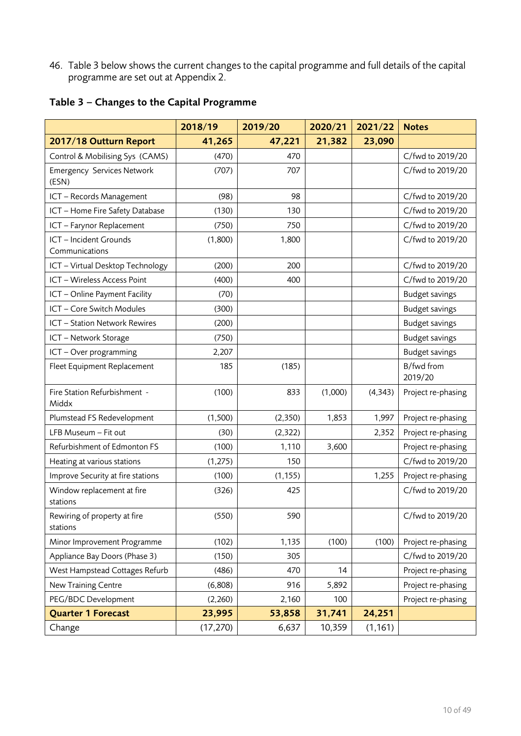46. Table 3 below shows the current changes to the capital programme and full details of the capital programme are set out at Appendix 2.

|                                            | 2018/19   | 2019/20  | 2020/21 | 2021/22  | <b>Notes</b>          |
|--------------------------------------------|-----------|----------|---------|----------|-----------------------|
| 2017/18 Outturn Report                     | 41,265    | 47,221   | 21,382  | 23,090   |                       |
| Control & Mobilising Sys (CAMS)            | (470)     | 470      |         |          | C/fwd to 2019/20      |
| <b>Emergency Services Network</b><br>(ESN) | (707)     | 707      |         |          | C/fwd to 2019/20      |
| ICT - Records Management                   | (98)      | 98       |         |          | C/fwd to 2019/20      |
| ICT - Home Fire Safety Database            | (130)     | 130      |         |          | C/fwd to 2019/20      |
| ICT - Farynor Replacement                  | (750)     | 750      |         |          | C/fwd to 2019/20      |
| ICT - Incident Grounds<br>Communications   | (1,800)   | 1,800    |         |          | C/fwd to 2019/20      |
| ICT - Virtual Desktop Technology           | (200)     | 200      |         |          | C/fwd to 2019/20      |
| ICT - Wireless Access Point                | (400)     | 400      |         |          | C/fwd to 2019/20      |
| ICT - Online Payment Facility              | (70)      |          |         |          | <b>Budget savings</b> |
| ICT - Core Switch Modules                  | (300)     |          |         |          | <b>Budget savings</b> |
| ICT - Station Network Rewires              | (200)     |          |         |          | Budget savings        |
| ICT - Network Storage                      | (750)     |          |         |          | <b>Budget savings</b> |
| ICT - Over programming                     | 2,207     |          |         |          | <b>Budget savings</b> |
| Fleet Equipment Replacement                | 185       | (185)    |         |          | B/fwd from<br>2019/20 |
| Fire Station Refurbishment -<br>Middx      | (100)     | 833      | (1,000) | (4,343)  | Project re-phasing    |
| Plumstead FS Redevelopment                 | (1,500)   | (2,350)  | 1,853   | 1,997    | Project re-phasing    |
| LFB Museum - Fit out                       | (30)      | (2,322)  |         | 2,352    | Project re-phasing    |
| Refurbishment of Edmonton FS               | (100)     | 1,110    | 3,600   |          | Project re-phasing    |
| Heating at various stations                | (1, 275)  | 150      |         |          | C/fwd to 2019/20      |
| Improve Security at fire stations          | (100)     | (1, 155) |         | 1,255    | Project re-phasing    |
| Window replacement at fire<br>stations     | (326)     | 425      |         |          | C/fwd to 2019/20      |
| Rewiring of property at fire<br>stations   | (550)     | 590      |         |          | C/fwd to 2019/20      |
| Minor Improvement Programme                | (102)     | 1,135    | (100)   | (100)    | Project re-phasing    |
| Appliance Bay Doors (Phase 3)              | (150)     | 305      |         |          | C/fwd to 2019/20      |
| West Hampstead Cottages Refurb             | (486)     | 470      | 14      |          | Project re-phasing    |
| New Training Centre                        | (6,808)   | 916      | 5,892   |          | Project re-phasing    |
| PEG/BDC Development                        | (2,260)   | 2,160    | 100     |          | Project re-phasing    |
| <b>Quarter 1 Forecast</b>                  | 23,995    | 53,858   | 31,741  | 24,251   |                       |
| Change                                     | (17, 270) | 6,637    | 10,359  | (1, 161) |                       |

**Table 3 – Changes to the Capital Programme**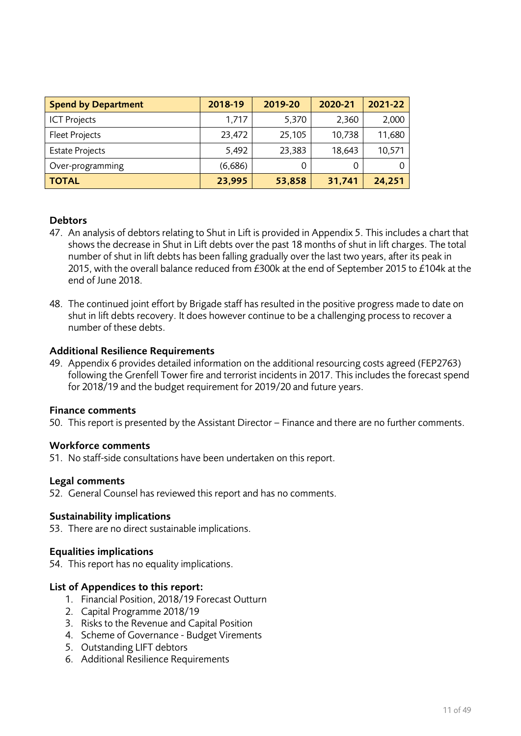| <b>Spend by Department</b> | 2018-19 | 2019-20 | 2020-21 | 2021-22 |
|----------------------------|---------|---------|---------|---------|
| <b>ICT Projects</b>        | 1,717   | 5,370   | 2,360   | 2,000   |
| <b>Fleet Projects</b>      | 23,472  | 25,105  | 10,738  | 11,680  |
| <b>Estate Projects</b>     | 5,492   | 23,383  | 18,643  | 10,571  |
| Over-programming           | (6,686) |         | 0       |         |
| <b>TOTAL</b>               | 23,995  | 53,858  | 31,741  | 24,251  |

## **Debtors**

- 47. An analysis of debtors relating to Shut in Lift is provided in Appendix 5. This includes a chart that shows the decrease in Shut in Lift debts over the past 18 months of shut in lift charges. The total number of shut in lift debts has been falling gradually over the last two years, after its peak in 2015, with the overall balance reduced from £300k at the end of September 2015 to £104k at the end of June 2018.
- 48. The continued joint effort by Brigade staff has resulted in the positive progress made to date on shut in lift debts recovery. It does however continue to be a challenging process to recover a number of these debts.

#### Additional Resilience Requirements

49. Appendix 6 provides detailed information on the additional resourcing costs agreed (FEP2763) following the Grenfell Tower fire and terrorist incidents in 2017. This includes the forecast spend for 2018/19 and the budget requirement for 2019/20 and future years.

#### Finance comments

50. This report is presented by the Assistant Director – Finance and there are no further comments.

#### Workforce comments

51. No staff-side consultations have been undertaken on this report.

#### Legal comments

52. General Counsel has reviewed this report and has no comments.

#### Sustainability implications

53. There are no direct sustainable implications.

#### Equalities implications

54. This report has no equality implications.

#### List of Appendices to this report:

- 1. Financial Position, 2018/19 Forecast Outturn
- 2. Capital Programme 2018/19
- 3. Risks to the Revenue and Capital Position
- 4. Scheme of Governance Budget Virements
- 5. Outstanding LIFT debtors
- 6. Additional Resilience Requirements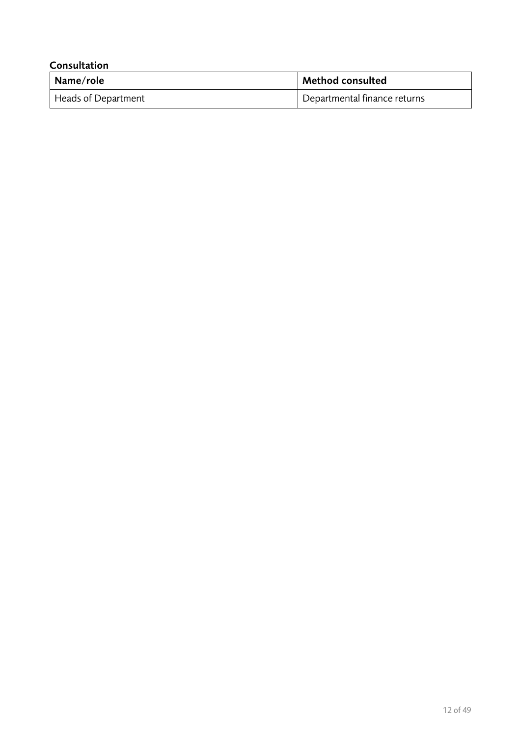| Consultation        |                              |  |  |  |  |  |  |
|---------------------|------------------------------|--|--|--|--|--|--|
| Name/role           | <b>Method consulted</b>      |  |  |  |  |  |  |
| Heads of Department | Departmental finance returns |  |  |  |  |  |  |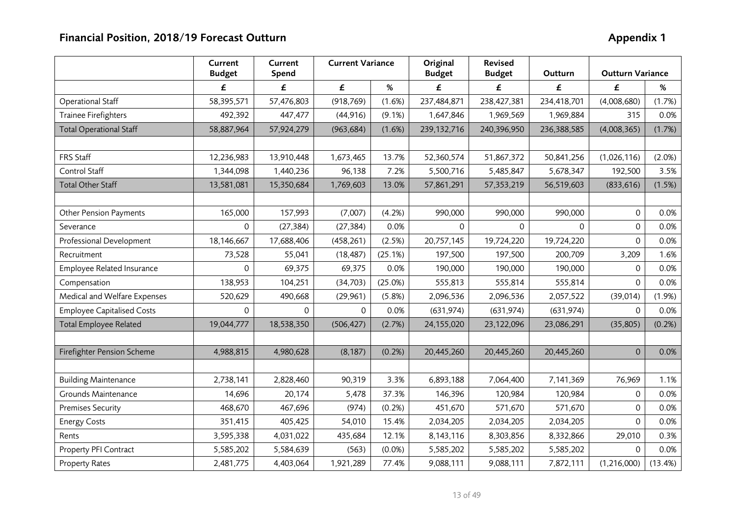|                                   | Current<br><b>Budget</b> | Current<br>Spend | <b>Current Variance</b> |           | Original<br><b>Budget</b> | <b>Revised</b><br><b>Budget</b> |             | Outturn Variance |           |  |
|-----------------------------------|--------------------------|------------------|-------------------------|-----------|---------------------------|---------------------------------|-------------|------------------|-----------|--|
|                                   | £                        | £                | £                       | $\%$      | £                         | £                               | £           | £                | %         |  |
| Operational Staff                 | 58,395,571               | 57,476,803       | (918, 769)              | (1.6%)    | 237,484,871               | 238,427,381                     | 234,418,701 | (4,008,680)      | (1.7%)    |  |
| <b>Trainee Firefighters</b>       | 492,392                  | 447,477          | (44, 916)               | $(9.1\%)$ | 1,647,846                 | 1,969,569                       | 1,969,884   | 315              | 0.0%      |  |
| <b>Total Operational Staff</b>    | 58,887,964               | 57,924,279       | (963, 684)              | (1.6%)    | 239, 132, 716             | 240,396,950                     | 236,388,585 | (4,008,365)      | (1.7%)    |  |
|                                   |                          |                  |                         |           |                           |                                 |             |                  |           |  |
| FRS Staff                         | 12,236,983               | 13,910,448       | 1,673,465               | 13.7%     | 52,360,574                | 51,867,372                      | 50,841,256  | (1,026,116)      | $(2.0\%)$ |  |
| Control Staff                     | 1,344,098                | 1,440,236        | 96,138                  | 7.2%      | 5,500,716                 | 5,485,847                       | 5,678,347   | 192,500          | 3.5%      |  |
| <b>Total Other Staff</b>          | 13,581,081               | 15,350,684       | 1,769,603               | 13.0%     | 57,861,291                | 57,353,219                      | 56,519,603  | (833, 616)       | (1.5%)    |  |
|                                   |                          |                  |                         |           |                           |                                 |             |                  |           |  |
| <b>Other Pension Payments</b>     | 165,000                  | 157,993          | (7,007)                 | (4.2%)    | 990,000                   | 990,000                         | 990,000     | $\Omega$         | 0.0%      |  |
| Severance                         | $\mathsf{O}$             | (27, 384)        | (27, 384)               | 0.0%      | $\mathbf{0}$              | $\Omega$                        | $\Omega$    | $\mathbf 0$      | 0.0%      |  |
| Professional Development          | 18,146,667               | 17,688,406       | (458, 261)              | (2.5%)    | 20,757,145                | 19,724,220                      | 19,724,220  | $\Omega$         | 0.0%      |  |
| Recruitment                       | 73,528                   | 55,041           | (18, 487)               | (25.1%)   | 197,500                   | 197,500                         | 200,709     | 3,209            | 1.6%      |  |
| Employee Related Insurance        | 0                        | 69,375           | 69,375                  | 0.0%      | 190,000                   | 190,000                         | 190,000     | $\mathbf{0}$     | 0.0%      |  |
| Compensation                      | 138,953                  | 104,251          | (34,703)                | (25.0%)   | 555,813                   | 555,814                         | 555,814     | $\Omega$         | 0.0%      |  |
| Medical and Welfare Expenses      | 520,629                  | 490,668          | (29,961)                | (5.8%)    | 2,096,536                 | 2,096,536                       | 2,057,522   | (39, 014)        | (1.9%)    |  |
| <b>Employee Capitalised Costs</b> | 0                        | 0                | $\Omega$                | 0.0%      | (631, 974)                | (631, 974)                      | (631, 974)  | $\Omega$         | 0.0%      |  |
| <b>Total Employee Related</b>     | 19,044,777               | 18,538,350       | (506, 427)              | (2.7%)    | 24,155,020                | 23,122,096                      | 23,086,291  | (35, 805)        | (0.2%)    |  |
|                                   |                          |                  |                         |           |                           |                                 |             |                  |           |  |
| Firefighter Pension Scheme        | 4,988,815                | 4,980,628        | (8, 187)                | (0.2%)    | 20,445,260                | 20,445,260                      | 20,445,260  | $\mathbf 0$      | 0.0%      |  |
|                                   |                          |                  |                         |           |                           |                                 |             |                  |           |  |
| <b>Building Maintenance</b>       | 2,738,141                | 2,828,460        | 90,319                  | 3.3%      | 6,893,188                 | 7,064,400                       | 7,141,369   | 76,969           | 1.1%      |  |
| Grounds Maintenance               | 14,696                   | 20,174           | 5,478                   | 37.3%     | 146,396                   | 120,984                         | 120,984     | $\mathbf{0}$     | 0.0%      |  |
| <b>Premises Security</b>          | 468,670                  | 467,696          | (974)                   | (0.2%)    | 451,670                   | 571,670                         | 571,670     | $\mathbf 0$      | 0.0%      |  |
| <b>Energy Costs</b>               | 351,415                  | 405,425          | 54,010                  | 15.4%     | 2,034,205                 | 2,034,205                       | 2,034,205   | $\mathbf 0$      | 0.0%      |  |
| Rents                             | 3,595,338                | 4,031,022        | 435,684                 | 12.1%     | 8,143,116                 | 8,303,856                       | 8,332,866   | 29,010           | 0.3%      |  |
| Property PFI Contract             | 5,585,202                | 5,584,639        | (563)                   | (0.0%     | 5,585,202                 | 5,585,202                       | 5,585,202   | $\Omega$         | 0.0%      |  |
| Property Rates                    | 2,481,775                | 4,403,064        | 1,921,289               | 77.4%     | 9,088,111                 | 9,088,111                       | 7,872,111   | (1,216,000)      | (13.4%)   |  |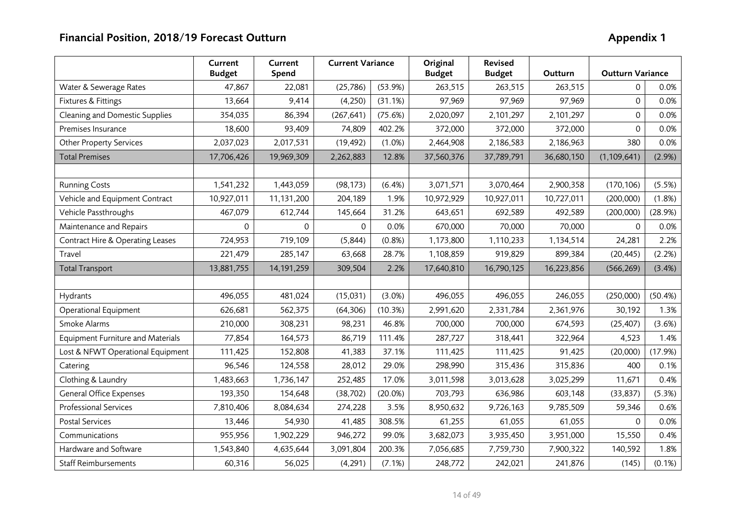|                                          | Current<br><b>Budget</b> | Current<br>Spend | <b>Current Variance</b> |            | Original<br><b>Budget</b> | <b>Revised</b><br><b>Budget</b> | Outturn    | <b>Outturn Variance</b> |           |
|------------------------------------------|--------------------------|------------------|-------------------------|------------|---------------------------|---------------------------------|------------|-------------------------|-----------|
| Water & Sewerage Rates                   | 47,867                   | 22,081           | (25, 786)               | (53.9%)    | 263,515                   | 263,515                         | 263,515    | $\Omega$                | 0.0%      |
| Fixtures & Fittings                      | 13,664                   | 9,414            | (4,250)                 | (31.1%)    | 97,969                    | 97,969                          | 97,969     | $\mathbf 0$             | 0.0%      |
| Cleaning and Domestic Supplies           | 354,035                  | 86,394           | (267, 641)              | (75.6%)    | 2,020,097                 | 2,101,297                       | 2,101,297  | $\Omega$                | 0.0%      |
| Premises Insurance                       | 18,600                   | 93,409           | 74,809                  | 402.2%     | 372,000                   | 372,000                         | 372,000    | $\Omega$                | 0.0%      |
| <b>Other Property Services</b>           | 2,037,023                | 2,017,531        | (19, 492)               | (1.0%)     | 2,464,908                 | 2,186,583                       | 2,186,963  | 380                     | 0.0%      |
| <b>Total Premises</b>                    | 17,706,426               | 19,969,309       | 2,262,883               | 12.8%      | 37,560,376                | 37,789,791                      | 36,680,150 | (1, 109, 641)           | (2.9%)    |
|                                          |                          |                  |                         |            |                           |                                 |            |                         |           |
| <b>Running Costs</b>                     | 1,541,232                | 1,443,059        | (98, 173)               | (6.4%)     | 3,071,571                 | 3,070,464                       | 2,900,358  | (170, 106)              | (5.5%)    |
| Vehicle and Equipment Contract           | 10,927,011               | 11,131,200       | 204,189                 | 1.9%       | 10,972,929                | 10,927,011                      | 10,727,011 | (200,000)               | $(1.8\%)$ |
| Vehicle Passthroughs                     | 467,079                  | 612,744          | 145,664                 | 31.2%      | 643,651                   | 692,589                         | 492,589    | (200,000)               | (28.9%)   |
| Maintenance and Repairs                  | 0                        | 0                | 0                       | 0.0%       | 670,000                   | 70,000                          | 70,000     | $\Omega$                | 0.0%      |
| Contract Hire & Operating Leases         | 724,953                  | 719,109          | (5, 844)                | (0.8%)     | 1,173,800                 | 1,110,233                       | 1,134,514  | 24,281                  | 2.2%      |
| Travel                                   | 221,479                  | 285,147          | 63,668                  | 28.7%      | 1,108,859                 | 919,829                         | 899,384    | (20, 445)               | (2.2%)    |
| <b>Total Transport</b>                   | 13,881,755               | 14,191,259       | 309,504                 | 2.2%       | 17,640,810                | 16,790,125                      | 16,223,856 | (566, 269)              | (3.4%)    |
|                                          |                          |                  |                         |            |                           |                                 |            |                         |           |
| Hydrants                                 | 496,055                  | 481,024          | (15,031)                | $(3.0\%)$  | 496,055                   | 496,055                         | 246,055    | (250,000)               | (50.4%)   |
| Operational Equipment                    | 626,681                  | 562,375          | (64, 306)               | (10.3%)    | 2,991,620                 | 2,331,784                       | 2,361,976  | 30,192                  | 1.3%      |
| Smoke Alarms                             | 210,000                  | 308,231          | 98,231                  | 46.8%      | 700,000                   | 700,000                         | 674,593    | (25, 407)               | (3.6%)    |
| <b>Equipment Furniture and Materials</b> | 77,854                   | 164,573          | 86,719                  | 111.4%     | 287,727                   | 318,441                         | 322,964    | 4,523                   | 1.4%      |
| Lost & NFWT Operational Equipment        | 111,425                  | 152,808          | 41,383                  | 37.1%      | 111,425                   | 111,425                         | 91,425     | (20,000)                | (17.9%)   |
| Catering                                 | 96,546                   | 124,558          | 28,012                  | 29.0%      | 298,990                   | 315,436                         | 315,836    | 400                     | 0.1%      |
| Clothing & Laundry                       | 1,483,663                | 1,736,147        | 252,485                 | 17.0%      | 3,011,598                 | 3,013,628                       | 3,025,299  | 11,671                  | 0.4%      |
| General Office Expenses                  | 193,350                  | 154,648          | (38, 702)               | $(20.0\%)$ | 703,793                   | 636,986                         | 603,148    | (33, 837)               | (5.3%)    |
| <b>Professional Services</b>             | 7,810,406                | 8,084,634        | 274,228                 | 3.5%       | 8,950,632                 | 9,726,163                       | 9,785,509  | 59,346                  | 0.6%      |
| <b>Postal Services</b>                   | 13,446                   | 54,930           | 41,485                  | 308.5%     | 61,255                    | 61,055                          | 61,055     | $\Omega$                | 0.0%      |
| Communications                           | 955,956                  | 1,902,229        | 946,272                 | 99.0%      | 3,682,073                 | 3,935,450                       | 3,951,000  | 15,550                  | 0.4%      |
| Hardware and Software                    | 1,543,840                | 4,635,644        | 3,091,804               | 200.3%     | 7,056,685                 | 7,759,730                       | 7,900,322  | 140,592                 | 1.8%      |
| <b>Staff Reimbursements</b>              | 60,316                   | 56,025           | (4,291)                 | (7.1%)     | 248,772                   | 242,021                         | 241,876    | (145)                   | (0.1%)    |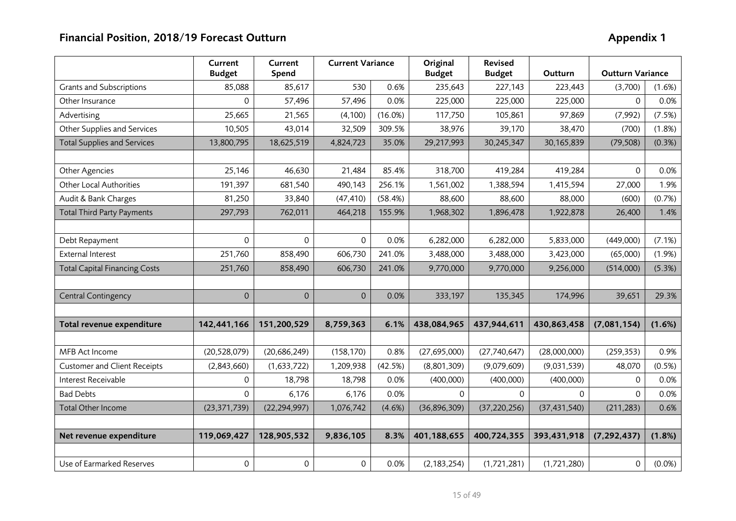|                                      | Current<br><b>Budget</b> | Current<br>Spend | <b>Current Variance</b> |         | Original<br><b>Budget</b> | <b>Revised</b><br><b>Budget</b> | Outturn        | <b>Outturn Variance</b> |           |
|--------------------------------------|--------------------------|------------------|-------------------------|---------|---------------------------|---------------------------------|----------------|-------------------------|-----------|
| <b>Grants and Subscriptions</b>      | 85,088                   | 85,617           | 530                     | 0.6%    | 235,643                   | 227,143                         | 223,443        | (3,700)                 | $(1.6\%)$ |
| Other Insurance                      | 0                        | 57,496           | 57,496                  | 0.0%    | 225,000                   | 225,000                         | 225,000        | $\Omega$                | 0.0%      |
| Advertising                          | 25,665                   | 21,565           | (4,100)                 | (16.0%) | 117,750                   | 105,861                         | 97,869         | (7,992)                 | (7.5%)    |
| Other Supplies and Services          | 10,505                   | 43,014           | 32,509                  | 309.5%  | 38,976                    | 39,170                          | 38,470         | (700)                   | $(1.8\%)$ |
| <b>Total Supplies and Services</b>   | 13,800,795               | 18,625,519       | 4,824,723               | 35.0%   | 29,217,993                | 30,245,347                      | 30,165,839     | (79, 508)               | (0.3%)    |
|                                      |                          |                  |                         |         |                           |                                 |                |                         |           |
| Other Agencies                       | 25,146                   | 46,630           | 21,484                  | 85.4%   | 318,700                   | 419,284                         | 419,284        | $\Omega$                | 0.0%      |
| Other Local Authorities              | 191,397                  | 681,540          | 490,143                 | 256.1%  | 1,561,002                 | 1,388,594                       | 1,415,594      | 27,000                  | 1.9%      |
| Audit & Bank Charges                 | 81,250                   | 33,840           | (47, 410)               | (58.4%) | 88,600                    | 88,600                          | 88,000         | (600)                   | (0.7%)    |
| <b>Total Third Party Payments</b>    | 297,793                  | 762,011          | 464,218                 | 155.9%  | 1,968,302                 | 1,896,478                       | 1,922,878      | 26,400                  | 1.4%      |
|                                      |                          |                  |                         |         |                           |                                 |                |                         |           |
| Debt Repayment                       | $\Omega$                 | 0                | $\Omega$                | 0.0%    | 6,282,000                 | 6,282,000                       | 5,833,000      | (449,000)               | (7.1%)    |
| <b>External Interest</b>             | 251,760                  | 858,490          | 606,730                 | 241.0%  | 3,488,000                 | 3,488,000                       | 3,423,000      | (65,000)                | (1.9%)    |
| <b>Total Capital Financing Costs</b> | 251,760                  | 858,490          | 606,730                 | 241.0%  | 9,770,000                 | 9,770,000                       | 9,256,000      | (514,000)               | (5.3%)    |
|                                      |                          |                  |                         |         |                           |                                 |                |                         |           |
| Central Contingency                  | $\mathbf 0$              | $\overline{0}$   | $\overline{0}$          | 0.0%    | 333,197                   | 135,345                         | 174,996        | 39,651                  | 29.3%     |
|                                      |                          |                  |                         |         |                           |                                 |                |                         |           |
| Total revenue expenditure            | 142,441,166              | 151,200,529      | 8,759,363               | 6.1%    | 438,084,965               | 437,944,611                     | 430,863,458    | (7,081,154)             | (1.6%)    |
|                                      |                          |                  |                         |         |                           |                                 |                |                         |           |
| MFB Act Income                       | (20, 528, 079)           | (20, 686, 249)   | (158, 170)              | 0.8%    | (27,695,000)              | (27,740,647)                    | (28,000,000)   | (259, 353)              | 0.9%      |
| <b>Customer and Client Receipts</b>  | (2,843,660)              | (1,633,722)      | 1,209,938               | (42.5%) | (8,801,309)               | (9,079,609)                     | (9,031,539)    | 48,070                  | (0.5%)    |
| Interest Receivable                  | $\Omega$                 | 18,798           | 18,798                  | 0.0%    | (400,000)                 | (400,000)                       | (400,000)      | $\Omega$                | 0.0%      |
| <b>Bad Debts</b>                     | $\Omega$                 | 6,176            | 6,176                   | 0.0%    | $\Omega$                  | $\Omega$                        | $\Omega$       | $\Omega$                | 0.0%      |
| Total Other Income                   | (23, 371, 739)           | (22, 294, 997)   | 1,076,742               | (4.6%)  | (36, 896, 309)            | (37, 220, 256)                  | (37, 431, 540) | (211, 283)              | 0.6%      |
|                                      |                          |                  |                         |         |                           |                                 |                |                         |           |
| Net revenue expenditure              | 119,069,427              | 128,905,532      | 9,836,105               | 8.3%    | 401,188,655               | 400,724,355                     | 393,431,918    | (7, 292, 437)           | (1.8%)    |
|                                      |                          |                  |                         |         |                           |                                 |                |                         |           |
| Use of Earmarked Reserves            | 0                        | $\mathsf{O}$     | 0                       | 0.0%    | (2, 183, 254)             | (1,721,281)                     | (1,721,280)    | $\mathsf{O}\xspace$     | $(0.0\%)$ |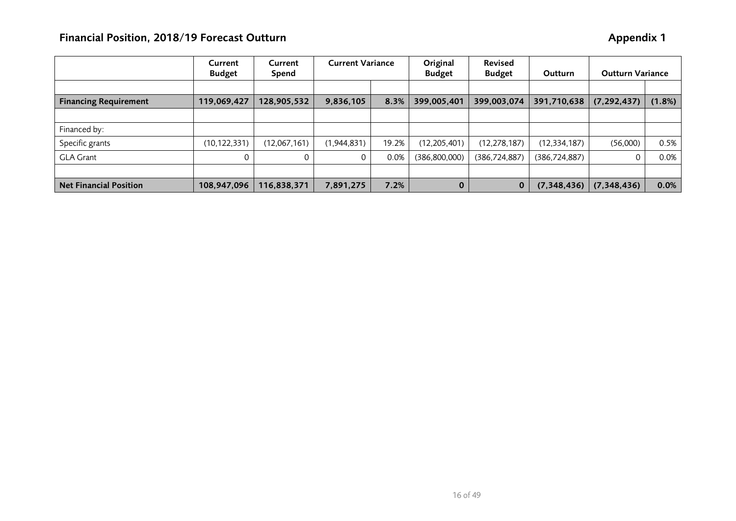|                               | Current<br><b>Budget</b> | Current<br>Spend | <b>Current Variance</b> |       | Original<br><b>Budget</b> | <b>Revised</b><br><b>Budget</b> | Outturn         | <b>Outturn Variance</b> |        |
|-------------------------------|--------------------------|------------------|-------------------------|-------|---------------------------|---------------------------------|-----------------|-------------------------|--------|
|                               |                          |                  |                         |       |                           |                                 |                 |                         |        |
| <b>Financing Requirement</b>  | 119,069,427              | 128,905,532      | 9,836,105               | 8.3%  | 399,005,401               | 399,003,074                     | 391,710,638     | (7, 292, 437)           | (1.8%) |
|                               |                          |                  |                         |       |                           |                                 |                 |                         |        |
| Financed by:                  |                          |                  |                         |       |                           |                                 |                 |                         |        |
| Specific grants               | (10, 122, 331)           | (12,067,161)     | (1,944,831)             | 19.2% | (12, 205, 401)            | (12, 278, 187)                  | (12, 334, 187)  | (56,000)                | 0.5%   |
| <b>GLA Grant</b>              |                          |                  |                         | 0.0%  | (386, 800, 000)           | (386,724,887)                   | (386, 724, 887) |                         | 0.0%   |
|                               |                          |                  |                         |       |                           |                                 |                 |                         |        |
| <b>Net Financial Position</b> | 108,947,096              | 116,838,371      | 7,891,275               | 7.2%  | $\bf{0}$                  | $\bf{0}$                        | (7,348,436)     | (7,348,436)             | 0.0%   |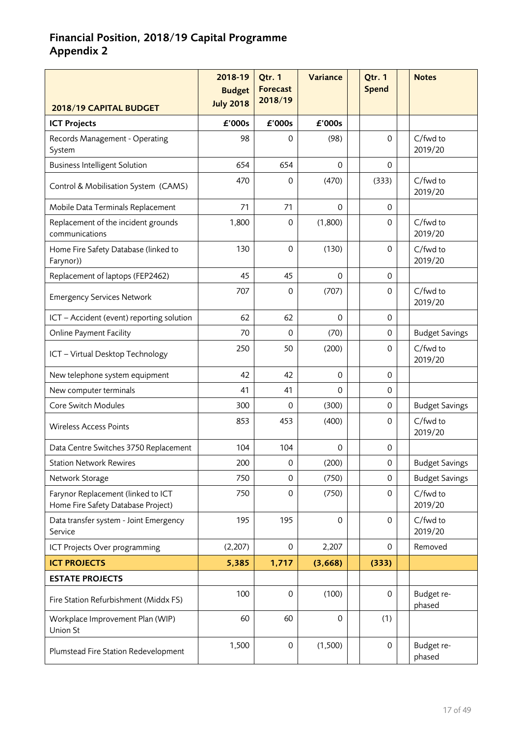# **Financial Position, 2018/19 Capital Programme Appendix 2**

| 2018/19 CAPITAL BUDGET                                                   | 2018-19<br><b>Budget</b><br><b>July 2018</b> | Qtr. 1<br><b>Forecast</b><br>2018/19 | Variance    | Qtr. 1<br><b>Spend</b> | <b>Notes</b>          |
|--------------------------------------------------------------------------|----------------------------------------------|--------------------------------------|-------------|------------------------|-----------------------|
| <b>ICT Projects</b>                                                      | £'000s                                       | £'000s                               | £'000s      |                        |                       |
| Records Management - Operating<br>System                                 | 98                                           | 0                                    | (98)        | $\Omega$               | C/fwd to<br>2019/20   |
| <b>Business Intelligent Solution</b>                                     | 654                                          | 654                                  | $\Omega$    | 0                      |                       |
| Control & Mobilisation System (CAMS)                                     | 470                                          | 0                                    | (470)       | (333)                  | C/fwd to<br>2019/20   |
| Mobile Data Terminals Replacement                                        | 71                                           | 71                                   | $\Omega$    | 0                      |                       |
| Replacement of the incident grounds<br>communications                    | 1,800                                        | 0                                    | (1,800)     | 0                      | C/fwd to<br>2019/20   |
| Home Fire Safety Database (linked to<br>Farynor))                        | 130                                          | $\mathbf 0$                          | (130)       | $\mathbf 0$            | C/fwd to<br>2019/20   |
| Replacement of laptops (FEP2462)                                         | 45                                           | 45                                   | $\Omega$    | 0                      |                       |
| <b>Emergency Services Network</b>                                        | 707                                          | 0                                    | (707)       | $\Omega$               | C/fwd to<br>2019/20   |
| ICT - Accident (event) reporting solution                                | 62                                           | 62                                   | $\Omega$    | $\mathbf 0$            |                       |
| <b>Online Payment Facility</b>                                           | 70                                           | 0                                    | (70)        | $\mathbf 0$            | <b>Budget Savings</b> |
| ICT - Virtual Desktop Technology                                         | 250                                          | 50                                   | (200)       | 0                      | C/fwd to<br>2019/20   |
| New telephone system equipment                                           | 42                                           | 42                                   | 0           | $\mathbf 0$            |                       |
| New computer terminals                                                   | 41                                           | 41                                   | $\Omega$    | 0                      |                       |
| Core Switch Modules                                                      | 300                                          | 0                                    | (300)       | 0                      | <b>Budget Savings</b> |
| <b>Wireless Access Points</b>                                            | 853                                          | 453                                  | (400)       | 0                      | C/fwd to<br>2019/20   |
| Data Centre Switches 3750 Replacement                                    | 104                                          | 104                                  | 0           | 0                      |                       |
| <b>Station Network Rewires</b>                                           | 200                                          | 0                                    | (200)       | $\mathbf 0$            | <b>Budget Savings</b> |
| Network Storage                                                          | 750                                          | 0                                    | (750)       | $\mathbf 0$            | <b>Budget Savings</b> |
| Farynor Replacement (linked to ICT<br>Home Fire Safety Database Project) | 750                                          | $\mathbf 0$                          | (750)       | $\mathbf 0$            | C/fwd to<br>2019/20   |
| Data transfer system - Joint Emergency<br>Service                        | 195                                          | 195                                  | $\mathbf 0$ | $\Omega$               | C/fwd to<br>2019/20   |
| ICT Projects Over programming                                            | (2, 207)                                     | $\mbox{O}$                           | 2,207       | $\mathbf 0$            | Removed               |
| <b>ICT PROJECTS</b>                                                      | 5,385                                        | 1,717                                | (3,668)     | (333)                  |                       |
| <b>ESTATE PROJECTS</b>                                                   |                                              |                                      |             |                        |                       |
| Fire Station Refurbishment (Middx FS)                                    | 100                                          | $\mathbf 0$                          | (100)       | $\Omega$               | Budget re-<br>phased  |
| Workplace Improvement Plan (WIP)<br>Union St                             | 60                                           | 60                                   | 0           | (1)                    |                       |
| Plumstead Fire Station Redevelopment                                     | 1,500                                        | $\mathsf{O}\xspace$                  | (1,500)     | $\mathbf 0$            | Budget re-<br>phased  |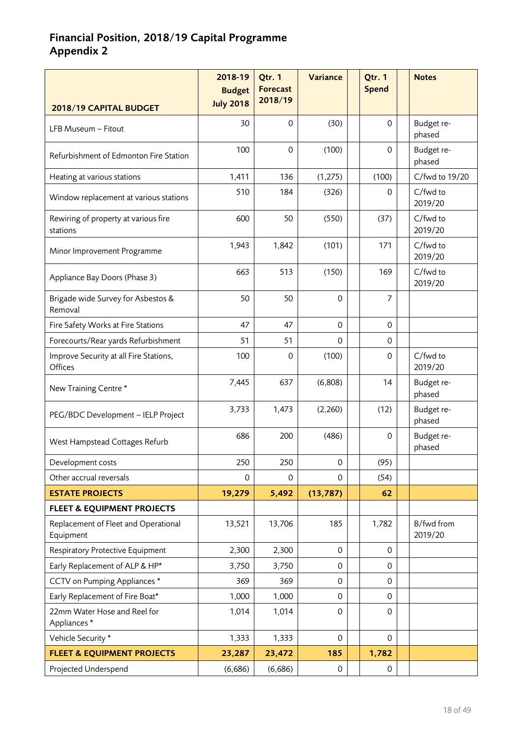# **Financial Position, 2018/19 Capital Programme Appendix 2**

|                                                   | 2018-19<br><b>Budget</b> | Qtr. 1<br><b>Forecast</b><br>2018/19 | Variance            | Qtr. 1<br><b>Spend</b> | <b>Notes</b>          |
|---------------------------------------------------|--------------------------|--------------------------------------|---------------------|------------------------|-----------------------|
| 2018/19 CAPITAL BUDGET                            | <b>July 2018</b>         |                                      |                     |                        |                       |
| LFB Museum - Fitout                               | 30                       | 0                                    | (30)                | $\Omega$               | Budget re-<br>phased  |
| Refurbishment of Edmonton Fire Station            | 100                      | $\mathbf 0$                          | (100)               | $\Omega$               | Budget re-<br>phased  |
| Heating at various stations                       | 1,411                    | 136                                  | (1, 275)            | (100)                  | C/fwd to 19/20        |
| Window replacement at various stations            | 510                      | 184                                  | (326)               | 0                      | C/fwd to<br>2019/20   |
| Rewiring of property at various fire<br>stations  | 600                      | 50                                   | (550)               | (37)                   | C/fwd to<br>2019/20   |
| Minor Improvement Programme                       | 1,943                    | 1,842                                | (101)               | 171                    | C/fwd to<br>2019/20   |
| Appliance Bay Doors (Phase 3)                     | 663                      | 513                                  | (150)               | 169                    | C/fwd to<br>2019/20   |
| Brigade wide Survey for Asbestos &<br>Removal     | 50                       | 50                                   | 0                   | $\overline{7}$         |                       |
| Fire Safety Works at Fire Stations                | 47                       | 47                                   | $\Omega$            | $\Omega$               |                       |
| Forecourts/Rear yards Refurbishment               | 51                       | 51                                   | $\Omega$            | $\Omega$               |                       |
| Improve Security at all Fire Stations,<br>Offices | 100                      | $\mathbf 0$                          | (100)               | $\Omega$               | C/fwd to<br>2019/20   |
| New Training Centre*                              | 7,445                    | 637                                  | (6,808)             | 14                     | Budget re-<br>phased  |
| PEG/BDC Development - IELP Project                | 3,733                    | 1,473                                | (2,260)             | (12)                   | Budget re-<br>phased  |
| West Hampstead Cottages Refurb                    | 686                      | 200                                  | (486)               | $\mathbf 0$            | Budget re-<br>phased  |
| Development costs                                 | 250                      | 250                                  | $\mathsf{O}\xspace$ | (95)                   |                       |
| Other accrual reversals                           | 0                        | $\mathbf 0$                          | $\Omega$            | (54)                   |                       |
| <b>ESTATE PROJECTS</b>                            | 19,279                   | 5,492                                | (13, 787)           | 62                     |                       |
| <b>FLEET &amp; EQUIPMENT PROJECTS</b>             |                          |                                      |                     |                        |                       |
| Replacement of Fleet and Operational<br>Equipment | 13,521                   | 13,706                               | 185                 | 1,782                  | B/fwd from<br>2019/20 |
| Respiratory Protective Equipment                  | 2,300                    | 2,300                                | $\mathbf 0$         | $\mathbf{0}$           |                       |
| Early Replacement of ALP & HP*                    | 3,750                    | 3,750                                | 0                   | 0                      |                       |
| CCTV on Pumping Appliances *                      | 369                      | 369                                  | 0                   | 0                      |                       |
| Early Replacement of Fire Boat*                   | 1,000                    | 1,000                                | 0                   | $\mathbf{0}$           |                       |
| 22mm Water Hose and Reel for<br>Appliances*       | 1,014                    | 1,014                                | 0                   | $\mathbf 0$            |                       |
| Vehicle Security *                                | 1,333                    | 1,333                                | $\mathbf 0$         | $\mathbf 0$            |                       |
| <b>FLEET &amp; EQUIPMENT PROJECTS</b>             | 23,287                   | 23,472                               | 185                 | 1,782                  |                       |
| Projected Underspend                              | (6,686)                  | (6,686)                              | 0                   | 0                      |                       |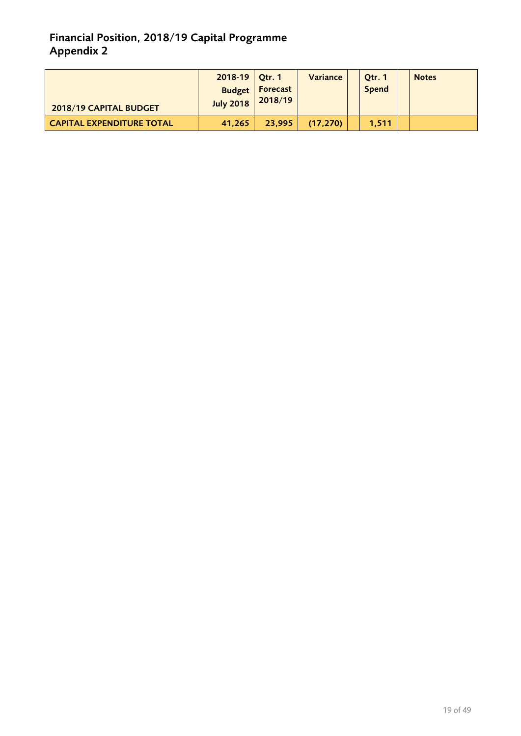# **Financial Position, 2018/19 Capital Programme Appendix 2**

| 2018/19 CAPITAL BUDGET           | $2018-19$ Qtr. 1<br><b>Budget</b><br><b>July 2018</b> | Forecast<br>2018/19 | Variance | Qtr. 1<br><b>Spend</b> | <b>Notes</b> |
|----------------------------------|-------------------------------------------------------|---------------------|----------|------------------------|--------------|
| <b>CAPITAL EXPENDITURE TOTAL</b> | 41,265                                                | 23.995              | (17.270) | 1.511                  |              |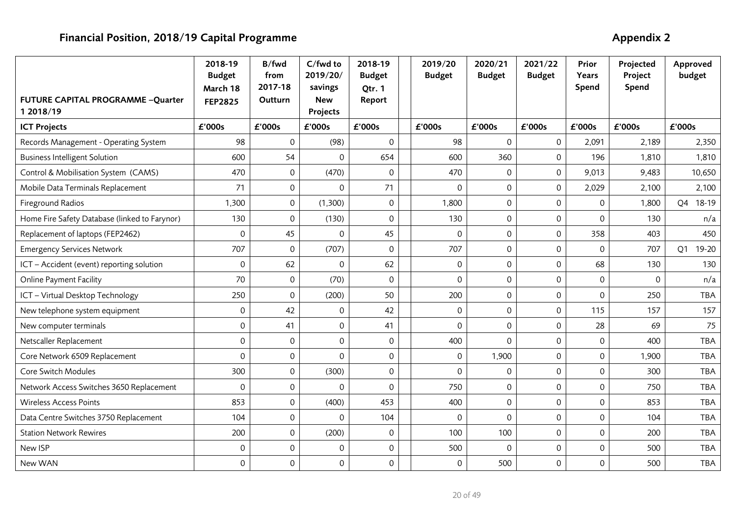| FUTURE CAPITAL PROGRAMME -Quarter             | 2018-19<br><b>Budget</b><br>March 18<br><b>FEP2825</b> | B/fwd<br>from<br>2017-18<br>Outturn | C/fwd to<br>2019/20/<br>savings<br><b>New</b> | 2018-19<br><b>Budget</b><br>Qtr. 1<br>Report | 2019/20<br><b>Budget</b> | 2020/21<br><b>Budget</b> | 2021/22<br><b>Budget</b> | Prior<br>Years<br>Spend | Projected<br>Project<br>Spend | Approved<br>budget      |
|-----------------------------------------------|--------------------------------------------------------|-------------------------------------|-----------------------------------------------|----------------------------------------------|--------------------------|--------------------------|--------------------------|-------------------------|-------------------------------|-------------------------|
| 1 2018/19<br><b>ICT Projects</b>              | £'000s                                                 | £'000s                              | Projects<br>£'000s                            | £'000s                                       | £'000s                   | £'000s                   | £'000s                   | £'000s                  | £'000s                        | £'000s                  |
| Records Management - Operating System         | 98                                                     | 0                                   | (98)                                          | $\mathbf 0$                                  | 98                       | 0                        | $\mathsf{O}\xspace$      | 2,091                   | 2,189                         | 2,350                   |
| <b>Business Intelligent Solution</b>          | 600                                                    | 54                                  | $\Omega$                                      | 654                                          | 600                      | 360                      | $\mathsf{O}\xspace$      | 196                     | 1,810                         | 1,810                   |
| Control & Mobilisation System (CAMS)          | 470                                                    | $\mathbf 0$                         | (470)                                         | 0                                            | 470                      | $\mathbf 0$              | $\mathsf{O}$             | 9,013                   | 9,483                         | 10,650                  |
| Mobile Data Terminals Replacement             | 71                                                     | $\mathsf{O}\xspace$                 | $\mathbf{0}$                                  | 71                                           | $\mathbf 0$              | $\mathsf 0$              | $\mathsf{O}\xspace$      | 2,029                   | 2,100                         | 2,100                   |
| Fireground Radios                             | 1,300                                                  | $\mathsf{O}\xspace$                 | (1,300)                                       | 0                                            | 1,800                    | $\mathsf 0$              | $\mathbf 0$              | $\mathsf{O}\xspace$     | 1,800                         | 18-19<br>Q4             |
| Home Fire Safety Database (linked to Farynor) | 130                                                    | $\mathsf{O}\xspace$                 | (130)                                         | $\mathbf 0$                                  | 130                      | $\mbox{O}$               | $\mathsf{O}\xspace$      | $\mathsf{O}\xspace$     | 130                           | n/a                     |
| Replacement of laptops (FEP2462)              | $\mathsf{O}\xspace$                                    | 45                                  | $\Omega$                                      | 45                                           | 0                        | $\mathsf 0$              | $\mathbf 0$              | 358                     | 403                           | 450                     |
| <b>Emergency Services Network</b>             | 707                                                    | $\mathsf{O}\xspace$                 | (707)                                         | 0                                            | 707                      | $\mathsf{O}\xspace$      | $\mathbf 0$              | $\mathbf 0$             | 707                           | 19-20<br>Q <sub>1</sub> |
| ICT - Accident (event) reporting solution     | $\mathbf 0$                                            | 62                                  | $\Omega$                                      | 62                                           | 0                        | $\mathsf 0$              | $\mathsf{O}\xspace$      | 68                      | 130                           | 130                     |
| <b>Online Payment Facility</b>                | 70                                                     | $\mathsf{O}\xspace$                 | (70)                                          | 0                                            | 0                        | $\mathsf{O}\xspace$      | $\mathsf{O}\xspace$      | $\boldsymbol{0}$        | 0                             | n/a                     |
| ICT - Virtual Desktop Technology              | 250                                                    | $\mathbf 0$                         | (200)                                         | 50                                           | 200                      | $\mathbf 0$              | $\mathbf 0$              | $\mathbf 0$             | 250                           | <b>TBA</b>              |
| New telephone system equipment                | $\mathsf{O}\xspace$                                    | 42                                  | 0                                             | 42                                           | 0                        | $\mathsf 0$              | $\mathbf 0$              | 115                     | 157                           | 157                     |
| New computer terminals                        | $\mathbf 0$                                            | 41                                  | $\mathbf 0$                                   | 41                                           | 0                        | $\mathsf 0$              | $\mathbf 0$              | 28                      | 69                            | 75                      |
| Netscaller Replacement                        | $\mathbf 0$                                            | $\mathbf 0$                         | $\mathbf 0$                                   | 0                                            | 400                      | $\mathbf 0$              | $\mathbf 0$              | $\mathbf 0$             | 400                           | <b>TBA</b>              |
| Core Network 6509 Replacement                 | $\mathbf 0$                                            | $\mathsf{O}\xspace$                 | $\Omega$                                      | 0                                            | 0                        | 1,900                    | $\mathsf{O}\xspace$      | $\boldsymbol{0}$        | 1,900                         | <b>TBA</b>              |
| Core Switch Modules                           | 300                                                    | $\mathsf{O}\xspace$                 | (300)                                         | $\mathbf 0$                                  | 0                        | $\mathbf 0$              | $\mathbf 0$              | $\mathbf 0$             | 300                           | <b>TBA</b>              |
| Network Access Switches 3650 Replacement      | $\mathbf{0}$                                           | $\mathbf 0$                         | $\Omega$                                      | 0                                            | 750                      | $\mathbf 0$              | $\mathbf 0$              | $\mathbf 0$             | 750                           | <b>TBA</b>              |
| <b>Wireless Access Points</b>                 | 853                                                    | $\mathsf{O}\xspace$                 | (400)                                         | 453                                          | 400                      | $\mathsf{O}\xspace$      | $\mathbf 0$              | $\mathbf 0$             | 853                           | <b>TBA</b>              |
| Data Centre Switches 3750 Replacement         | 104                                                    | $\mathsf{O}\xspace$                 | $\Omega$                                      | 104                                          | $\Omega$                 | $\Omega$                 | $\mathbf 0$              | $\mathbf 0$             | 104                           | <b>TBA</b>              |
| <b>Station Network Rewires</b>                | 200                                                    | $\mathsf{O}\xspace$                 | (200)                                         | 0                                            | 100                      | 100                      | $\mathbf 0$              | $\mathbf 0$             | 200                           | <b>TBA</b>              |
| New ISP                                       | $\mathbf 0$                                            | 0                                   | 0                                             | 0                                            | 500                      | $\mathbf 0$              | $\mathbf 0$              | $\mathsf{O}\xspace$     | 500                           | <b>TBA</b>              |
| New WAN                                       | $\mathbf 0$                                            | $\mathsf{O}\xspace$                 | 0                                             | 0                                            | 0                        | 500                      | $\mathsf{O}\xspace$      | $\mathsf{O}\xspace$     | 500                           | <b>TBA</b>              |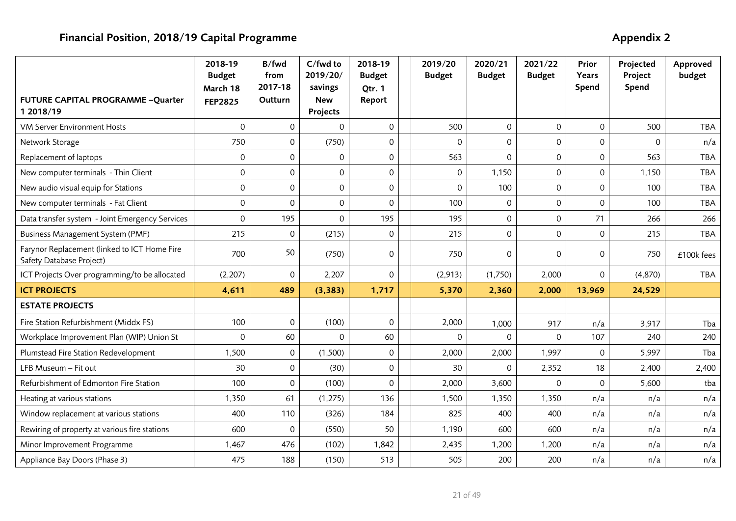|                                                                          | 2018-19<br><b>Budget</b><br>March 18 | B/fwd<br>from<br>2017-18 | C/fwd to<br>2019/20/<br>savings | 2018-19<br><b>Budget</b><br>Qtr. 1 | 2019/20<br><b>Budget</b> | 2020/21<br><b>Budget</b> | 2021/22<br><b>Budget</b> | Prior<br>Years<br>Spend | Projected<br>Project<br>Spend | Approved<br>budget |
|--------------------------------------------------------------------------|--------------------------------------|--------------------------|---------------------------------|------------------------------------|--------------------------|--------------------------|--------------------------|-------------------------|-------------------------------|--------------------|
| FUTURE CAPITAL PROGRAMME -Quarter<br>1 2018/19                           | <b>FEP2825</b>                       | Outturn                  | <b>New</b><br>Projects          | Report                             |                          |                          |                          |                         |                               |                    |
| <b>VM Server Environment Hosts</b>                                       | $\mathbf 0$                          | $\mathbf 0$              | $\Omega$                        | $\mathsf{O}\xspace$                | 500                      | $\mathbf 0$              | $\mathbf 0$              | $\mathsf{O}\xspace$     | 500                           | <b>TBA</b>         |
| Network Storage                                                          | 750                                  | $\mathbf 0$              | (750)                           | $\mathsf{O}\xspace$                | $\mathbf 0$              | 0                        | $\mathbf 0$              | $\mathbf 0$             | $\Omega$                      | n/a                |
| Replacement of laptops                                                   | $\mathbf 0$                          | $\mathbf 0$              | $\mathbf 0$                     | 0                                  | 563                      | 0                        | $\mathbf 0$              | $\mathbf 0$             | 563                           | <b>TBA</b>         |
| New computer terminals - Thin Client                                     | $\mathsf{O}\xspace$                  | $\mathbf 0$              | $\Omega$                        | $\mathsf{O}\xspace$                | 0                        | 1,150                    | 0                        | 0                       | 1,150                         | <b>TBA</b>         |
| New audio visual equip for Stations                                      | $\mathsf{O}\xspace$                  | $\mathbf 0$              | $\mathbf 0$                     | $\mathsf{O}\xspace$                | 0                        | 100                      | 0                        | $\mathsf{O}\xspace$     | 100                           | <b>TBA</b>         |
| New computer terminals - Fat Client                                      | $\mathsf{O}\xspace$                  | $\mathbf 0$              | $\mathbf 0$                     | $\mathbf 0$                        | 100                      | $\mathsf{O}\xspace$      | $\mathsf 0$              | $\mathbf 0$             | 100                           | <b>TBA</b>         |
| Data transfer system - Joint Emergency Services                          | $\mathbf 0$                          | 195                      | $\Omega$                        | 195                                | 195                      | 0                        | $\mathbf 0$              | 71                      | 266                           | 266                |
| Business Management System (PMF)                                         | 215                                  | $\mathbf 0$              | (215)                           | $\mathbf 0$                        | 215                      | $\mathbf 0$              | $\mathbf 0$              | $\mathbf 0$             | 215                           | <b>TBA</b>         |
| Farynor Replacement (linked to ICT Home Fire<br>Safety Database Project) | 700                                  | 50                       | (750)                           | $\Omega$                           | 750                      | 0                        | $\Omega$                 | 0                       | 750                           | £100k fees         |
| ICT Projects Over programming/to be allocated                            | (2, 207)                             | $\mathbf 0$              | 2,207                           | $\mathsf{O}$                       | (2,913)                  | (1,750)                  | 2,000                    | $\mathbf 0$             | (4,870)                       | <b>TBA</b>         |
| <b>ICT PROJECTS</b>                                                      | 4,611                                | 489                      | (3, 383)                        | 1,717                              | 5,370                    | 2,360                    | 2,000                    | 13,969                  | 24,529                        |                    |
| <b>ESTATE PROJECTS</b>                                                   |                                      |                          |                                 |                                    |                          |                          |                          |                         |                               |                    |
| Fire Station Refurbishment (Middx FS)                                    | 100                                  | $\mathbf 0$              | (100)                           | 0                                  | 2,000                    | 1,000                    | 917                      | n/a                     | 3,917                         | Tba                |
| Workplace Improvement Plan (WIP) Union St                                | $\Omega$                             | 60                       | $\Omega$                        | 60                                 |                          | 0<br>$\Omega$            | $\Omega$                 | 107                     | 240                           | 240                |
| Plumstead Fire Station Redevelopment                                     | 1,500                                | $\mathbf 0$              | (1,500)                         | $\mathsf{O}\xspace$                | 2,000                    | 2,000                    | 1,997                    | 0                       | 5,997                         | Tba                |
| LFB Museum - Fit out                                                     | 30                                   | $\mathbf 0$              | (30)                            | $\mathsf{O}\xspace$                | 30                       | 0                        | 2,352                    | 18                      | 2,400                         | 2,400              |
| Refurbishment of Edmonton Fire Station                                   | 100                                  | $\mathbf 0$              | (100)                           | $\Omega$                           | 2,000                    | 3,600                    | $\Omega$                 | $\mathbf 0$             | 5,600                         | tba                |
| Heating at various stations                                              | 1,350                                | 61                       | (1, 275)                        | 136                                | 1,500                    | 1,350                    | 1,350                    | n/a                     | n/a                           | n/a                |
| Window replacement at various stations                                   | 400                                  | 110                      | (326)                           | 184                                | 825                      | 400                      | 400                      | n/a                     | n/a                           | n/a                |
| Rewiring of property at various fire stations                            | 600                                  | $\mathbf 0$              | (550)                           | 50                                 | 1,190                    | 600                      | 600                      | n/a                     | n/a                           | n/a                |
| Minor Improvement Programme                                              | 1,467                                | 476                      | (102)                           | 1,842                              | 2,435                    | 1,200                    | 1,200                    | n/a                     | n/a                           | n/a                |
| Appliance Bay Doors (Phase 3)                                            | 475                                  | 188                      | (150)                           | 513                                | 505                      | 200                      | 200                      | n/a                     | n/a                           | n/a                |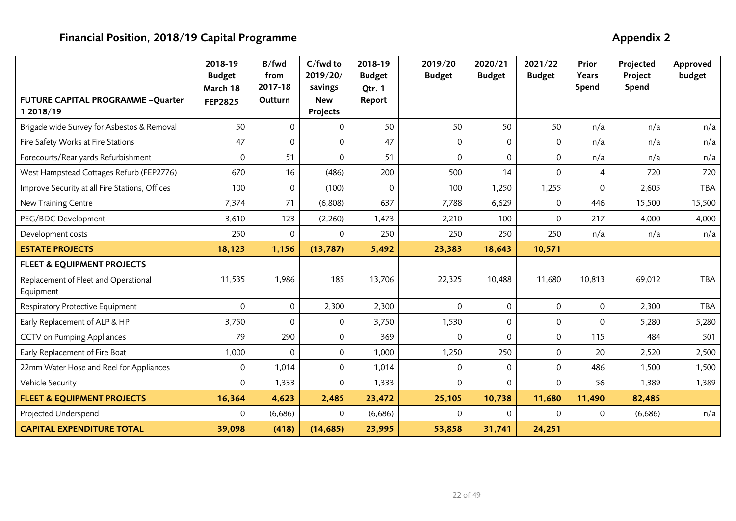|                                                   | 2018-19<br><b>Budget</b><br>March 18 | B/fwd<br>from<br>2017-18 | C/fwd to<br>2019/20/<br>savings | 2018-19<br><b>Budget</b><br>Otr. 1 | 2019/20<br><b>Budget</b> | 2020/21<br><b>Budget</b>        | 2021/22<br><b>Budget</b> | Prior<br>Years<br>Spend | Projected<br>Project<br>Spend | Approved<br>budget |
|---------------------------------------------------|--------------------------------------|--------------------------|---------------------------------|------------------------------------|--------------------------|---------------------------------|--------------------------|-------------------------|-------------------------------|--------------------|
| FUTURE CAPITAL PROGRAMME -Quarter<br>1 2018/19    | <b>FEP2825</b>                       | Outturn                  | <b>New</b><br>Projects          | Report                             |                          |                                 |                          |                         |                               |                    |
| Brigade wide Survey for Asbestos & Removal        | 50                                   | $\mathbf 0$              | $\mathbf{0}$                    | 50                                 | 50                       | 50                              | 50                       | n/a                     | n/a                           | n/a                |
| Fire Safety Works at Fire Stations                | 47                                   | $\mathbf{0}$             | $\mathbf{0}$                    | 47                                 |                          | $\Omega$<br>$\Omega$            | $\mathbf{0}$             | n/a                     | n/a                           | n/a                |
| Forecourts/Rear yards Refurbishment               | 0                                    | 51                       | $\Omega$                        | 51                                 |                          | $\Omega$<br>$\Omega$            | 0                        | n/a                     | n/a                           | n/a                |
| West Hampstead Cottages Refurb (FEP2776)          | 670                                  | 16                       | (486)                           | 200                                | 500                      | 14                              | $\Omega$                 | 4                       | 720                           | 720                |
| Improve Security at all Fire Stations, Offices    | 100                                  | $\mathbf{0}$             | (100)                           | $\Omega$                           | 100                      | 1,250                           | 1,255                    | $\mathbf 0$             | 2,605                         | <b>TBA</b>         |
| New Training Centre                               | 7,374                                | 71                       | (6,808)                         | 637                                | 7,788                    | 6,629                           | $\Omega$                 | 446                     | 15,500                        | 15,500             |
| PEG/BDC Development                               | 3,610                                | 123                      | (2, 260)                        | 1,473                              | 2,210                    | 100                             | $\mathbf{0}$             | 217                     | 4,000                         | 4,000              |
| Development costs                                 | 250                                  | $\Omega$                 | $\Omega$                        | 250                                | 250                      | 250                             | 250                      | n/a                     | n/a                           | n/a                |
| <b>ESTATE PROJECTS</b>                            | 18,123                               | 1,156                    | (13, 787)                       | 5,492                              | 23,383                   | 18,643                          | 10,571                   |                         |                               |                    |
| <b>FLEET &amp; EQUIPMENT PROJECTS</b>             |                                      |                          |                                 |                                    |                          |                                 |                          |                         |                               |                    |
| Replacement of Fleet and Operational<br>Equipment | 11,535                               | 1,986                    | 185                             | 13,706                             | 22,325                   | 10,488                          | 11,680                   | 10,813                  | 69,012                        | TBA                |
| Respiratory Protective Equipment                  | $\Omega$                             | $\mathbf{0}$             | 2,300                           | 2,300                              |                          | $\Omega$<br>$\Omega$            | $\mathbf 0$              | $\mathbf 0$             | 2,300                         | <b>TBA</b>         |
| Early Replacement of ALP & HP                     | 3,750                                | $\mathbf 0$              | $\mathbf 0$                     | 3,750                              | 1,530                    | $\mathsf{O}\xspace$             | $\mathsf 0$              | $\mathbf 0$             | 5,280                         | 5,280              |
| <b>CCTV on Pumping Appliances</b>                 | 79                                   | 290                      | $\mathbf{0}$                    | 369                                |                          | $\Omega$<br>$\Omega$            | 0                        | 115                     | 484                           | 501                |
| Early Replacement of Fire Boat                    | 1,000                                | $\Omega$                 | $\mathbf{0}$                    | 1,000                              | 1,250                    | 250                             | $\Omega$                 | 20                      | 2,520                         | 2,500              |
| 22mm Water Hose and Reel for Appliances           | 0                                    | 1,014                    | $\mathbf 0$                     | 1,014                              |                          | $\mathsf{O}\xspace$<br>$\Omega$ | $\mathsf 0$              | 486                     | 1,500                         | 1,500              |
| Vehicle Security                                  | $\mathbf 0$                          | 1,333                    | $\mathbf 0$                     | 1,333                              |                          | $\Omega$<br>$\Omega$            | $\Omega$                 | 56                      | 1,389                         | 1,389              |
| <b>FLEET &amp; EQUIPMENT PROJECTS</b>             | 16,364                               | 4,623                    | 2,485                           | 23,472                             | 25,105                   | 10,738                          | 11,680                   | 11,490                  | 82,485                        |                    |
| Projected Underspend                              | $\mathbf{0}$                         | (6,686)                  | $\mathbf{0}$                    | (6,686)                            |                          | 0<br>$\Omega$                   | $\Omega$                 | $\mathbf{0}$            | (6,686)                       | n/a                |
| <b>CAPITAL EXPENDITURE TOTAL</b>                  | 39,098                               | (418)                    | (14, 685)                       | 23,995                             | 53,858                   | 31,741                          | 24,251                   |                         |                               |                    |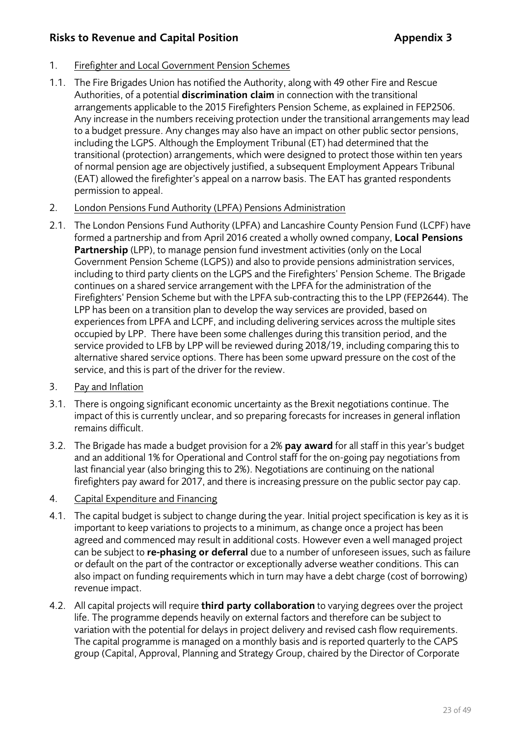# **Risks to Revenue and Capital Position Appendix 3**

# 1. Firefighter and Local Government Pension Schemes

- 1.1. The Fire Brigades Union has notified the Authority, along with 49 other Fire and Rescue Authorities, of a potential **discrimination claim** in connection with the transitional arrangements applicable to the 2015 Firefighters Pension Scheme, as explained in FEP2506. Any increase in the numbers receiving protection under the transitional arrangements may lead to a budget pressure. Any changes may also have an impact on other public sector pensions, including the LGPS. Although the Employment Tribunal (ET) had determined that the transitional (protection) arrangements, which were designed to protect those within ten years of normal pension age are objectively justified, a subsequent Employment Appears Tribunal (EAT) allowed the firefighter's appeal on a narrow basis. The EAT has granted respondents permission to appeal.
- 2. London Pensions Fund Authority (LPFA) Pensions Administration
- 2.1. The London Pensions Fund Authority (LPFA) and Lancashire County Pension Fund (LCPF) have formed a partnership and from April 2016 created a wholly owned company, **Local Pensions Partnership** (LPP), to manage pension fund investment activities (only on the Local Government Pension Scheme (LGPS)) and also to provide pensions administration services, including to third party clients on the LGPS and the Firefighters' Pension Scheme. The Brigade continues on a shared service arrangement with the LPFA for the administration of the Firefighters' Pension Scheme but with the LPFA sub-contracting this to the LPP (FEP2644). The LPP has been on a transition plan to develop the way services are provided, based on experiences from LPFA and LCPF, and including delivering services across the multiple sites occupied by LPP. There have been some challenges during this transition period, and the service provided to LFB by LPP will be reviewed during 2018/19, including comparing this to alternative shared service options. There has been some upward pressure on the cost of the service, and this is part of the driver for the review.
- 3. Pay and Inflation
- 3.1. There is ongoing significant economic uncertainty as the Brexit negotiations continue. The impact of this is currently unclear, and so preparing forecasts for increases in general inflation remains difficult.
- 3.2. The Brigade has made a budget provision for a 2% **pay award** for all staff in this year's budget and an additional 1% for Operational and Control staff for the on-going pay negotiations from last financial year (also bringing this to 2%). Negotiations are continuing on the national firefighters pay award for 2017, and there is increasing pressure on the public sector pay cap.
- 4. Capital Expenditure and Financing
- 4.1. The capital budget is subject to change during the year. Initial project specification is key as it is important to keep variations to projects to a minimum, as change once a project has been agreed and commenced may result in additional costs. However even a well managed project can be subject to **re-phasing or deferral** due to a number of unforeseen issues, such as failure or default on the part of the contractor or exceptionally adverse weather conditions. This can also impact on funding requirements which in turn may have a debt charge (cost of borrowing) revenue impact.
- 4.2. All capital projects will require **third party collaboration** to varying degrees over the project life. The programme depends heavily on external factors and therefore can be subject to variation with the potential for delays in project delivery and revised cash flow requirements. The capital programme is managed on a monthly basis and is reported quarterly to the CAPS group (Capital, Approval, Planning and Strategy Group, chaired by the Director of Corporate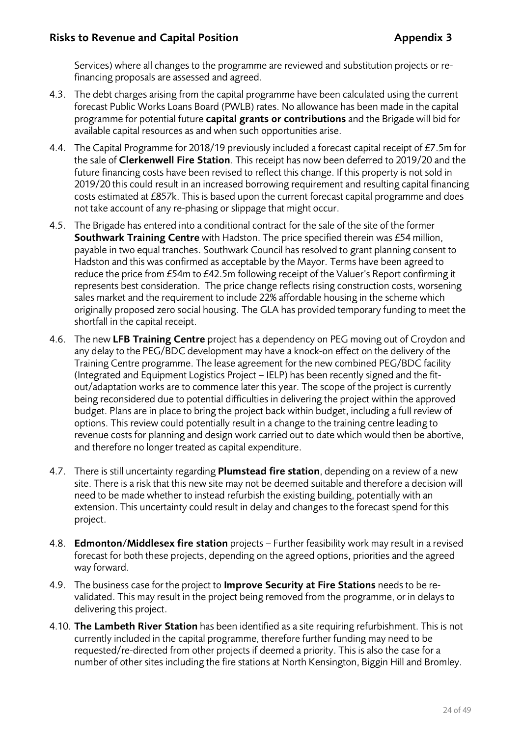Services) where all changes to the programme are reviewed and substitution projects or refinancing proposals are assessed and agreed.

- 4.3. The debt charges arising from the capital programme have been calculated using the current forecast Public Works Loans Board (PWLB) rates. No allowance has been made in the capital programme for potential future **capital grants or contributions** and the Brigade will bid for available capital resources as and when such opportunities arise.
- 4.4. The Capital Programme for 2018/19 previously included a forecast capital receipt of £7.5m for the sale of **Clerkenwell Fire Station**. This receipt has now been deferred to 2019/20 and the future financing costs have been revised to reflect this change. If this property is not sold in 2019/20 this could result in an increased borrowing requirement and resulting capital financing costs estimated at £857k. This is based upon the current forecast capital programme and does not take account of any re-phasing or slippage that might occur.
- 4.5. The Brigade has entered into a conditional contract for the sale of the site of the former **Southwark Training Centre** with Hadston. The price specified therein was £54 million, payable in two equal tranches. Southwark Council has resolved to grant planning consent to Hadston and this was confirmed as acceptable by the Mayor. Terms have been agreed to reduce the price from £54m to £42.5m following receipt of the Valuer's Report confirming it represents best consideration. The price change reflects rising construction costs, worsening sales market and the requirement to include 22% affordable housing in the scheme which originally proposed zero social housing. The GLA has provided temporary funding to meet the shortfall in the capital receipt.
- 4.6. The new **LFB Training Centre** project has a dependency on PEG moving out of Croydon and any delay to the PEG/BDC development may have a knock-on effect on the delivery of the Training Centre programme. The lease agreement for the new combined PEG/BDC facility (Integrated and Equipment Logistics Project – IELP) has been recently signed and the fitout/adaptation works are to commence later this year. The scope of the project is currently being reconsidered due to potential difficulties in delivering the project within the approved budget. Plans are in place to bring the project back within budget, including a full review of options. This review could potentially result in a change to the training centre leading to revenue costs for planning and design work carried out to date which would then be abortive, and therefore no longer treated as capital expenditure.
- 4.7. There is still uncertainty regarding **Plumstead fire station**, depending on a review of a new site. There is a risk that this new site may not be deemed suitable and therefore a decision will need to be made whether to instead refurbish the existing building, potentially with an extension. This uncertainty could result in delay and changes to the forecast spend for this project.
- 4.8. **Edmonton/Middlesex fire station** projects Further feasibility work may result in a revised forecast for both these projects, depending on the agreed options, priorities and the agreed way forward.
- 4.9. The business case for the project to **Improve Security at Fire Stations** needs to be revalidated. This may result in the project being removed from the programme, or in delays to delivering this project.
- 4.10. **The Lambeth River Station** has been identified as a site requiring refurbishment. This is not currently included in the capital programme, therefore further funding may need to be requested/re-directed from other projects if deemed a priority. This is also the case for a number of other sites including the fire stations at North Kensington, Biggin Hill and Bromley.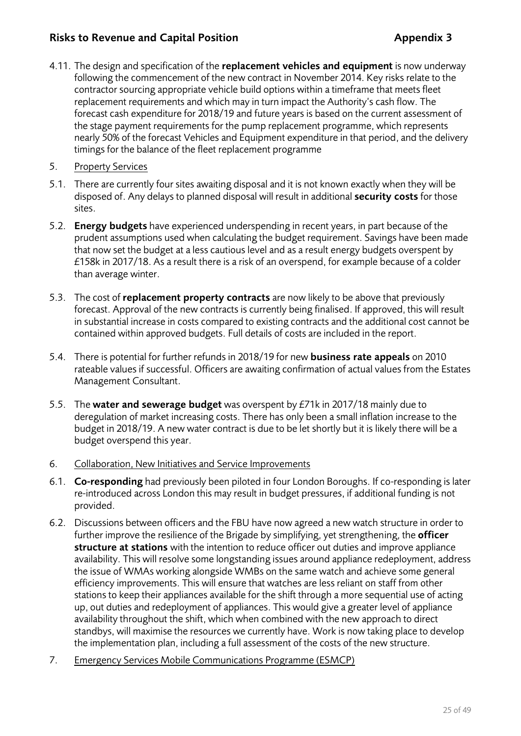# **Risks to Revenue and Capital Position Appendix 3**

- 4.11. The design and specification of the **replacement vehicles and equipment** is now underway following the commencement of the new contract in November 2014. Key risks relate to the contractor sourcing appropriate vehicle build options within a timeframe that meets fleet replacement requirements and which may in turn impact the Authority's cash flow. The forecast cash expenditure for 2018/19 and future years is based on the current assessment of the stage payment requirements for the pump replacement programme, which represents nearly 50% of the forecast Vehicles and Equipment expenditure in that period, and the delivery timings for the balance of the fleet replacement programme
- 5. Property Services
- 5.1. There are currently four sites awaiting disposal and it is not known exactly when they will be disposed of. Any delays to planned disposal will result in additional **security costs** for those sites.
- 5.2. **Energy budgets** have experienced underspending in recent years, in part because of the prudent assumptions used when calculating the budget requirement. Savings have been made that now set the budget at a less cautious level and as a result energy budgets overspent by £158k in 2017/18. As a result there is a risk of an overspend, for example because of a colder than average winter.
- 5.3. The cost of **replacement property contracts** are now likely to be above that previously forecast. Approval of the new contracts is currently being finalised. If approved, this will result in substantial increase in costs compared to existing contracts and the additional cost cannot be contained within approved budgets. Full details of costs are included in the report.
- 5.4. There is potential for further refunds in 2018/19 for new **business rate appeals** on 2010 rateable values if successful. Officers are awaiting confirmation of actual values from the Estates Management Consultant.
- 5.5. The **water and sewerage budget** was overspent by £71k in 2017/18 mainly due to deregulation of market increasing costs. There has only been a small inflation increase to the budget in 2018/19. A new water contract is due to be let shortly but it is likely there will be a budget overspend this year.
- 6. Collaboration, New Initiatives and Service Improvements
- 6.1. **Co-responding** had previously been piloted in four London Boroughs. If co-responding is later re-introduced across London this may result in budget pressures, if additional funding is not provided.
- 6.2. Discussions between officers and the FBU have now agreed a new watch structure in order to further improve the resilience of the Brigade by simplifying, yet strengthening, the **officer structure at stations** with the intention to reduce officer out duties and improve appliance availability. This will resolve some longstanding issues around appliance redeployment, address the issue of WMAs working alongside WMBs on the same watch and achieve some general efficiency improvements. This will ensure that watches are less reliant on staff from other stations to keep their appliances available for the shift through a more sequential use of acting up, out duties and redeployment of appliances. This would give a greater level of appliance availability throughout the shift, which when combined with the new approach to direct standbys, will maximise the resources we currently have. Work is now taking place to develop the implementation plan, including a full assessment of the costs of the new structure.
- 7. Emergency Services Mobile Communications Programme (ESMCP)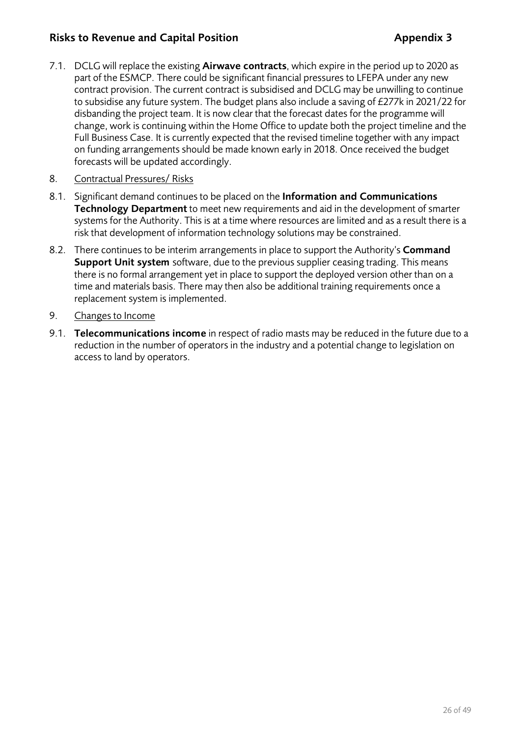# **Risks to Revenue and Capital Position Appendix 3**

- 7.1. DCLG will replace the existing **Airwave contracts**, which expire in the period up to 2020 as part of the ESMCP. There could be significant financial pressures to LFEPA under any new contract provision. The current contract is subsidised and DCLG may be unwilling to continue to subsidise any future system. The budget plans also include a saving of £277k in 2021/22 for disbanding the project team. It is now clear that the forecast dates for the programme will change, work is continuing within the Home Office to update both the project timeline and the Full Business Case. It is currently expected that the revised timeline together with any impact on funding arrangements should be made known early in 2018. Once received the budget forecasts will be updated accordingly.
- 8. Contractual Pressures/ Risks
- 8.1. Significant demand continues to be placed on the **Information and Communications Technology Department** to meet new requirements and aid in the development of smarter systems for the Authority. This is at a time where resources are limited and as a result there is a risk that development of information technology solutions may be constrained.
- 8.2. There continues to be interim arrangements in place to support the Authority's **Command Support Unit system** software, due to the previous supplier ceasing trading. This means there is no formal arrangement yet in place to support the deployed version other than on a time and materials basis. There may then also be additional training requirements once a replacement system is implemented.
- 9. Changes to Income
- 9.1. **Telecommunications income** in respect of radio masts may be reduced in the future due to a reduction in the number of operators in the industry and a potential change to legislation on access to land by operators.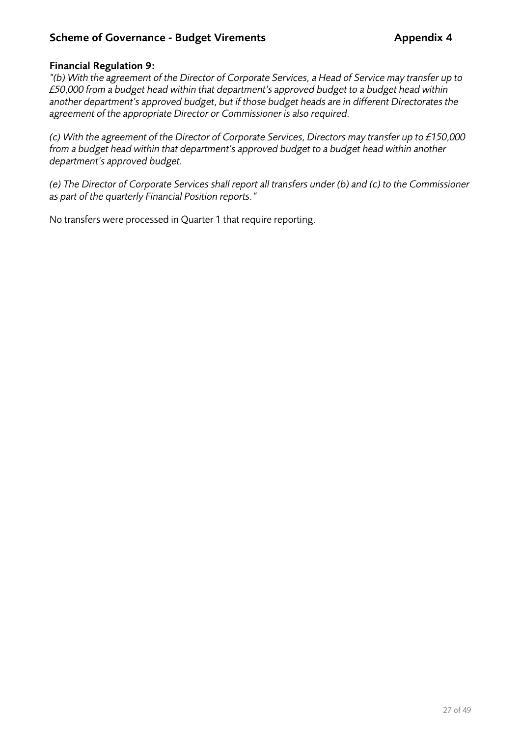# **Scheme of Governance - Budget Virements Appendix 4**

## **Financial Regulation 9:**

*"(b) With the agreement of the Director of Corporate Services, a Head of Service may transfer up to £50,000 from a budget head within that department's approved budget to a budget head within another department's approved budget, but if those budget heads are in different Directorates the agreement of the appropriate Director or Commissioner is also required.* 

*(c) With the agreement of the Director of Corporate Services, Directors may transfer up to £150,000 from a budget head within that department's approved budget to a budget head within another department's approved budget.* 

*(e) The Director of Corporate Services shall report all transfers under (b) and (c) to the Commissioner as part of the quarterly Financial Position reports."*

No transfers were processed in Quarter 1 that require reporting.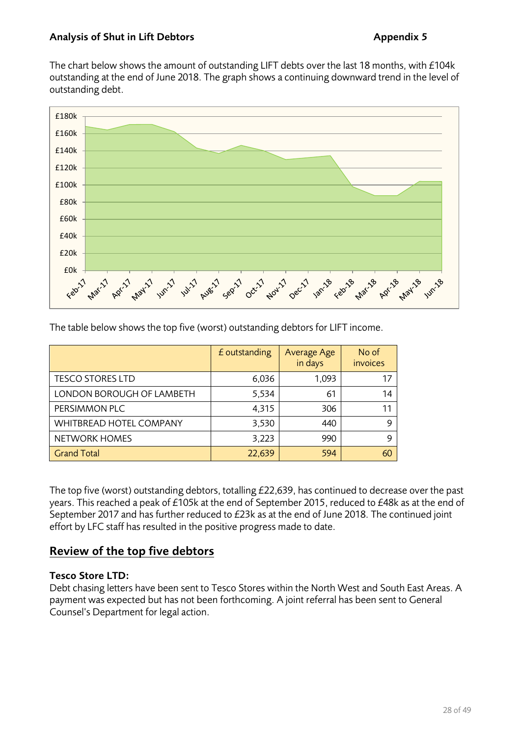The chart below shows the amount of outstanding LIFT debts over the last 18 months, with £104k outstanding at the end of June 2018. The graph shows a continuing downward trend in the level of outstanding debt.



The table below shows the top five (worst) outstanding debtors for LIFT income.

|                           | £ outstanding | Average Age<br>in days | No of<br>invoices |
|---------------------------|---------------|------------------------|-------------------|
| <b>TESCO STORES LTD</b>   | 6,036         | 1,093                  | 17                |
| LONDON BOROUGH OF LAMBETH | 5,534         | 61                     | 14                |
| PERSIMMON PLC             | 4,315         | 306                    | 11                |
| WHITBREAD HOTEL COMPANY   | 3,530         | 440                    | 9                 |
| NETWORK HOMES             | 3,223         | 990                    | 9                 |
| <b>Grand Total</b>        | 22,639        | 594                    | 60                |

The top five (worst) outstanding debtors, totalling £22,639, has continued to decrease over the past years. This reached a peak of £105k at the end of September 2015, reduced to £48k as at the end of September 2017 and has further reduced to £23k as at the end of June 2018. The continued joint effort by LFC staff has resulted in the positive progress made to date.

# **Review of the top five debtors**

# **Tesco Store LTD:**

Debt chasing letters have been sent to Tesco Stores within the North West and South East Areas. A payment was expected but has not been forthcoming. A joint referral has been sent to General Counsel's Department for legal action.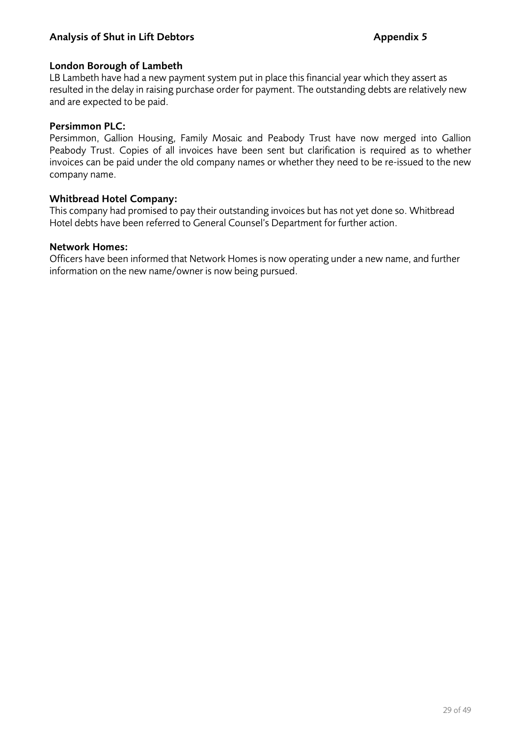### Analysis of Shut in Lift Debtors **Appendix 5** Appendix 5

#### **London Borough of Lambeth**

LB Lambeth have had a new payment system put in place this financial year which they assert as resulted in the delay in raising purchase order for payment. The outstanding debts are relatively new and are expected to be paid.

#### **Persimmon PLC:**

Persimmon, Gallion Housing, Family Mosaic and Peabody Trust have now merged into Gallion Peabody Trust. Copies of all invoices have been sent but clarification is required as to whether invoices can be paid under the old company names or whether they need to be re-issued to the new company name.

#### **Whitbread Hotel Company:**

This company had promised to pay their outstanding invoices but has not yet done so. Whitbread Hotel debts have been referred to General Counsel's Department for further action.

#### **Network Homes:**

Officers have been informed that Network Homes is now operating under a new name, and further information on the new name/owner is now being pursued.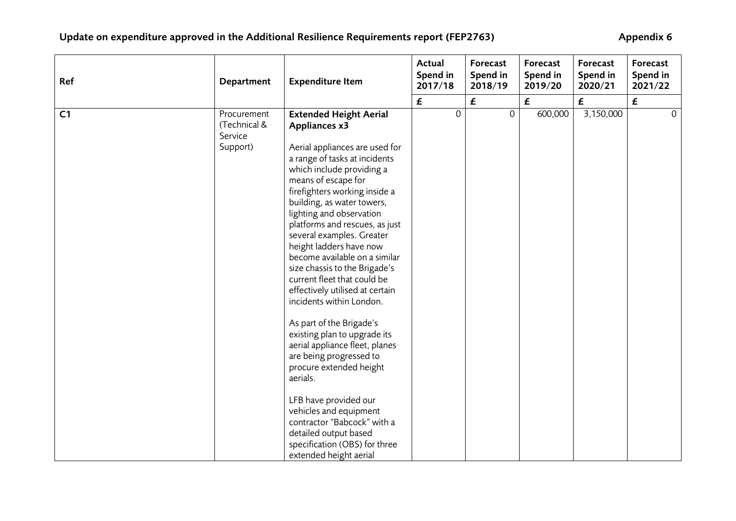| Ref            | Department                                         | <b>Expenditure Item</b>                                                                                                                                                                                                                                                                                                                                                                                                                                                                                                                                                                                                                                                                    | Actual<br>Spend in<br>2017/18 | Forecast<br>Spend in<br>2018/19 | Forecast<br>Spend in<br>2019/20 | Forecast<br>Spend in<br>2020/21 | Forecast<br>Spend in<br>2021/22 |
|----------------|----------------------------------------------------|--------------------------------------------------------------------------------------------------------------------------------------------------------------------------------------------------------------------------------------------------------------------------------------------------------------------------------------------------------------------------------------------------------------------------------------------------------------------------------------------------------------------------------------------------------------------------------------------------------------------------------------------------------------------------------------------|-------------------------------|---------------------------------|---------------------------------|---------------------------------|---------------------------------|
|                |                                                    |                                                                                                                                                                                                                                                                                                                                                                                                                                                                                                                                                                                                                                                                                            | £                             | $\pmb{\mathit{f}}$              | $\pmb{\mathit{f}}$              | £                               | £                               |
| C <sub>1</sub> | Procurement<br>(Technical &<br>Service<br>Support) | <b>Extended Height Aerial</b><br>Appliances x3<br>Aerial appliances are used for<br>a range of tasks at incidents<br>which include providing a<br>means of escape for<br>firefighters working inside a<br>building, as water towers,<br>lighting and observation<br>platforms and rescues, as just<br>several examples. Greater<br>height ladders have now<br>become available on a similar<br>size chassis to the Brigade's<br>current fleet that could be<br>effectively utilised at certain<br>incidents within London.<br>As part of the Brigade's<br>existing plan to upgrade its<br>aerial appliance fleet, planes<br>are being progressed to<br>procure extended height<br>aerials. | $\mathbf 0$                   | $\mathbf 0$                     | 600,000                         | 3,150,000                       | $\mathbf{0}$                    |
|                |                                                    | LFB have provided our<br>vehicles and equipment<br>contractor "Babcock" with a<br>detailed output based<br>specification (OBS) for three<br>extended height aerial                                                                                                                                                                                                                                                                                                                                                                                                                                                                                                                         |                               |                                 |                                 |                                 |                                 |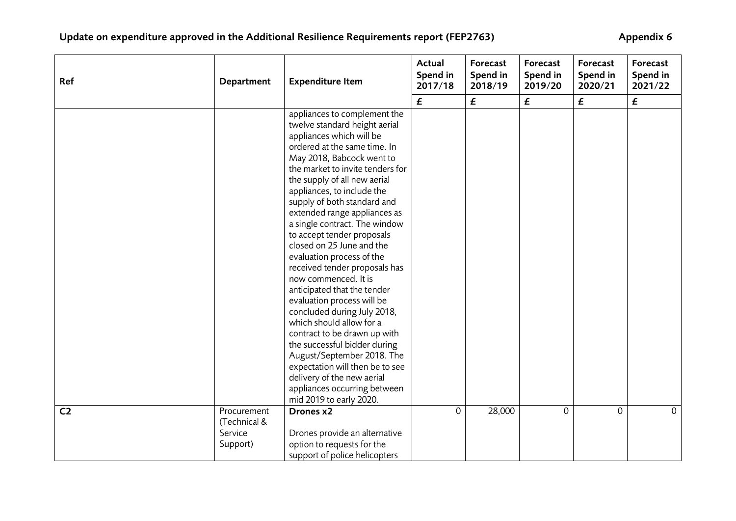| Ref            | Department                                         | <b>Expenditure Item</b>                                                                                                                                                                                                                                                                                                                                                                                                                                                                                                                                                                                                                                                                                                                                                                                                                                     | Actual<br>Spend in<br>2017/18 | Forecast<br>Spend in<br>2018/19 | Forecast<br>Spend in<br>2019/20 | Forecast<br>Spend in<br>2020/21 | Forecast<br>Spend in<br>2021/22 |
|----------------|----------------------------------------------------|-------------------------------------------------------------------------------------------------------------------------------------------------------------------------------------------------------------------------------------------------------------------------------------------------------------------------------------------------------------------------------------------------------------------------------------------------------------------------------------------------------------------------------------------------------------------------------------------------------------------------------------------------------------------------------------------------------------------------------------------------------------------------------------------------------------------------------------------------------------|-------------------------------|---------------------------------|---------------------------------|---------------------------------|---------------------------------|
|                |                                                    |                                                                                                                                                                                                                                                                                                                                                                                                                                                                                                                                                                                                                                                                                                                                                                                                                                                             | £                             | £                               | £                               | £                               | £                               |
|                |                                                    | appliances to complement the<br>twelve standard height aerial<br>appliances which will be<br>ordered at the same time. In<br>May 2018, Babcock went to<br>the market to invite tenders for<br>the supply of all new aerial<br>appliances, to include the<br>supply of both standard and<br>extended range appliances as<br>a single contract. The window<br>to accept tender proposals<br>closed on 25 June and the<br>evaluation process of the<br>received tender proposals has<br>now commenced. It is<br>anticipated that the tender<br>evaluation process will be<br>concluded during July 2018,<br>which should allow for a<br>contract to be drawn up with<br>the successful bidder during<br>August/September 2018. The<br>expectation will then be to see<br>delivery of the new aerial<br>appliances occurring between<br>mid 2019 to early 2020. |                               |                                 |                                 |                                 |                                 |
| C <sub>2</sub> | Procurement<br>(Technical &<br>Service<br>Support) | Drones x2<br>Drones provide an alternative<br>option to requests for the<br>support of police helicopters                                                                                                                                                                                                                                                                                                                                                                                                                                                                                                                                                                                                                                                                                                                                                   | $\overline{O}$                | 28,000                          | $\Omega$                        | $\mathbf 0$                     | $\mathbf{0}$                    |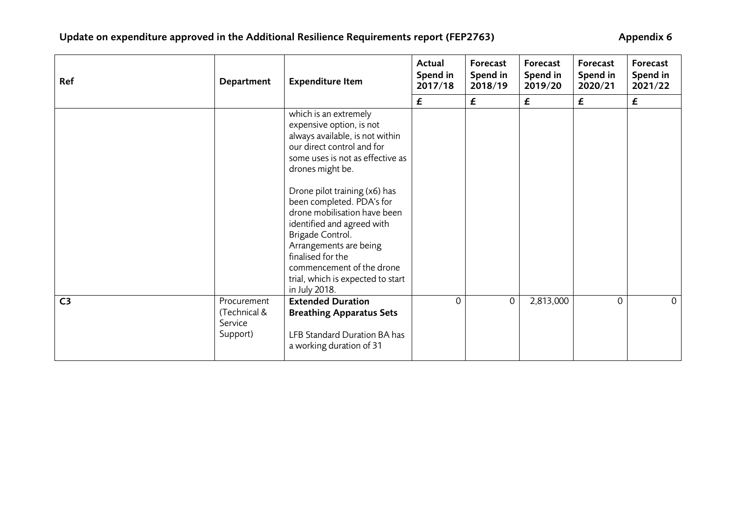| Ref            | Department                                         | <b>Expenditure Item</b>                                                                                                                                                                                                                                                        | Actual<br>Spend in<br>2017/18 | Forecast<br>Spend in<br>2018/19 | Forecast<br>Spend in<br>2019/20 | Forecast<br>Spend in<br>2020/21 | Forecast<br>Spend in<br>2021/22 |
|----------------|----------------------------------------------------|--------------------------------------------------------------------------------------------------------------------------------------------------------------------------------------------------------------------------------------------------------------------------------|-------------------------------|---------------------------------|---------------------------------|---------------------------------|---------------------------------|
|                |                                                    |                                                                                                                                                                                                                                                                                | £                             | $\boldsymbol{\mathsf{f}}$       | £                               | £                               | $\boldsymbol{\mathsf{f}}$       |
|                |                                                    | which is an extremely<br>expensive option, is not<br>always available, is not within<br>our direct control and for<br>some uses is not as effective as<br>drones might be.                                                                                                     |                               |                                 |                                 |                                 |                                 |
|                |                                                    | Drone pilot training (x6) has<br>been completed. PDA's for<br>drone mobilisation have been<br>identified and agreed with<br>Brigade Control.<br>Arrangements are being<br>finalised for the<br>commencement of the drone<br>trial, which is expected to start<br>in July 2018. |                               |                                 |                                 |                                 |                                 |
| C <sub>3</sub> | Procurement<br>(Technical &<br>Service<br>Support) | <b>Extended Duration</b><br><b>Breathing Apparatus Sets</b><br>LFB Standard Duration BA has<br>a working duration of 31                                                                                                                                                        | $\mathbf 0$                   | $\mathbf{0}$                    | 2,813,000                       | $\mathbf 0$                     | $\Omega$                        |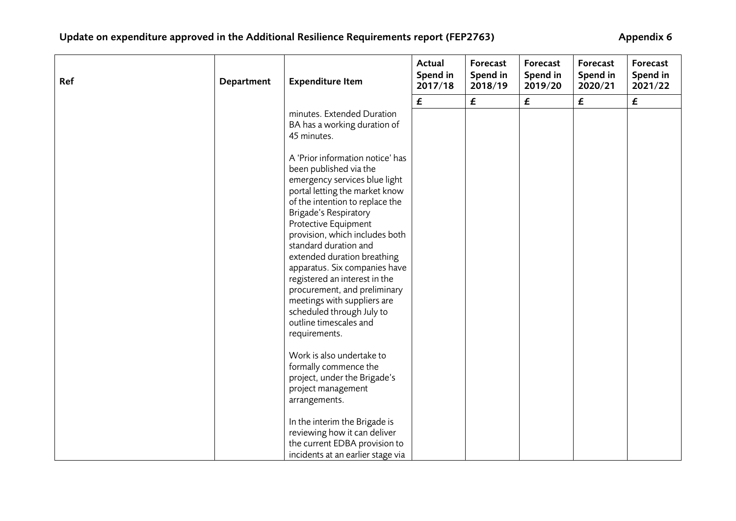| Ref | Department | <b>Expenditure Item</b>                                                                                                                                                                                                                                                                                                                                                                                                                                                                                                     | Actual<br>Spend in<br>2017/18 | Forecast<br>Spend in<br>2018/19 | Forecast<br>Spend in<br>2019/20 | Forecast<br>Spend in<br>2020/21 | Forecast<br>Spend in<br>2021/22 |
|-----|------------|-----------------------------------------------------------------------------------------------------------------------------------------------------------------------------------------------------------------------------------------------------------------------------------------------------------------------------------------------------------------------------------------------------------------------------------------------------------------------------------------------------------------------------|-------------------------------|---------------------------------|---------------------------------|---------------------------------|---------------------------------|
|     |            |                                                                                                                                                                                                                                                                                                                                                                                                                                                                                                                             | $\pmb{\mathit{f}}$            | $\boldsymbol{\mathsf{f}}$       | $\pmb{\mathit{f}}$              | $\pmb{\mathit{f}}$              | $\boldsymbol{\mathsf{f}}$       |
|     |            | minutes. Extended Duration<br>BA has a working duration of<br>45 minutes.                                                                                                                                                                                                                                                                                                                                                                                                                                                   |                               |                                 |                                 |                                 |                                 |
|     |            | A 'Prior information notice' has<br>been published via the<br>emergency services blue light<br>portal letting the market know<br>of the intention to replace the<br><b>Brigade's Respiratory</b><br>Protective Equipment<br>provision, which includes both<br>standard duration and<br>extended duration breathing<br>apparatus. Six companies have<br>registered an interest in the<br>procurement, and preliminary<br>meetings with suppliers are<br>scheduled through July to<br>outline timescales and<br>requirements. |                               |                                 |                                 |                                 |                                 |
|     |            | Work is also undertake to<br>formally commence the<br>project, under the Brigade's<br>project management<br>arrangements.                                                                                                                                                                                                                                                                                                                                                                                                   |                               |                                 |                                 |                                 |                                 |
|     |            | In the interim the Brigade is<br>reviewing how it can deliver<br>the current EDBA provision to<br>incidents at an earlier stage via                                                                                                                                                                                                                                                                                                                                                                                         |                               |                                 |                                 |                                 |                                 |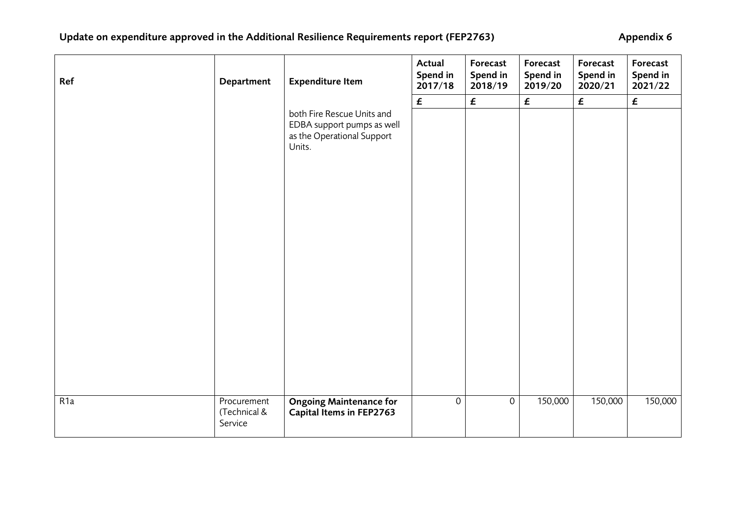| Ref              | Department                             | <b>Expenditure Item</b>                                                                          | Actual<br>Spend in<br>2017/18 | Forecast<br>Spend in<br>2018/19 | Forecast<br>Spend in<br>2019/20 | Forecast<br>Spend in<br>2020/21 | Forecast<br>Spend in<br>2021/22 |
|------------------|----------------------------------------|--------------------------------------------------------------------------------------------------|-------------------------------|---------------------------------|---------------------------------|---------------------------------|---------------------------------|
|                  |                                        |                                                                                                  | $\pmb{\mathit{f}}$            | $\pmb{\mathit{f}}$              | $\pmb{\mathit{f}}$              | $\pmb{\mathit{f}}$              | $\pmb{\mathit{f}}$              |
|                  |                                        | both Fire Rescue Units and<br>EDBA support pumps as well<br>as the Operational Support<br>Units. |                               |                                 |                                 |                                 |                                 |
|                  |                                        |                                                                                                  |                               |                                 |                                 |                                 |                                 |
| R <sub>1</sub> a | Procurement<br>(Technical &<br>Service | <b>Ongoing Maintenance for</b><br>Capital Items in FEP2763                                       | $\overline{0}$                | $\mbox{O}$                      | 150,000                         | 150,000                         | 150,000                         |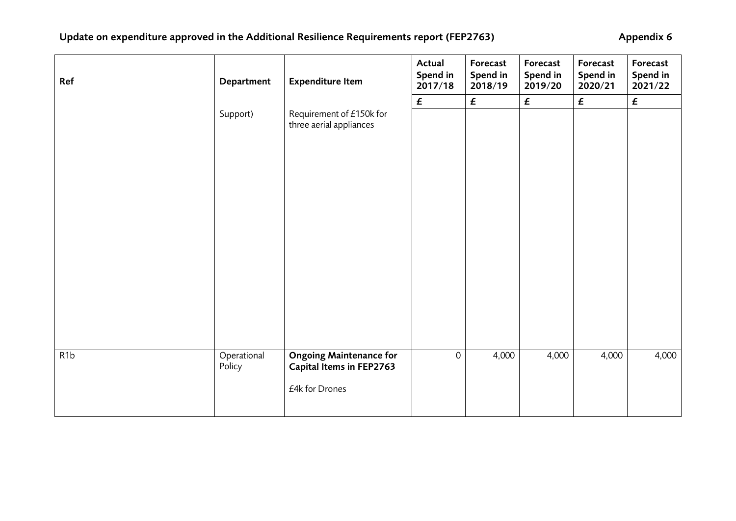| Ref | Department            | <b>Expenditure Item</b>                                                      | Actual<br>Spend in<br>2017/18 | Forecast<br>Spend in<br>2018/19 | Forecast<br>Spend in<br>2019/20 | Forecast<br>Spend in<br>2020/21 | Forecast<br>Spend in<br>2021/22 |
|-----|-----------------------|------------------------------------------------------------------------------|-------------------------------|---------------------------------|---------------------------------|---------------------------------|---------------------------------|
|     |                       |                                                                              | $\pmb{\mathit{f}}$            | $\pmb{\mathit{f}}$              | $\pmb{\mathit{f}}$              | $\boldsymbol{f}$                | £                               |
|     | Support)              | Requirement of £150k for<br>three aerial appliances                          |                               |                                 |                                 |                                 |                                 |
|     |                       |                                                                              |                               |                                 |                                 |                                 |                                 |
|     |                       |                                                                              |                               |                                 |                                 |                                 |                                 |
| R1b | Operational<br>Policy | <b>Ongoing Maintenance for</b><br>Capital Items in FEP2763<br>£4k for Drones | $\mathbf 0$                   | 4,000                           | 4,000                           | 4,000                           | 4,000                           |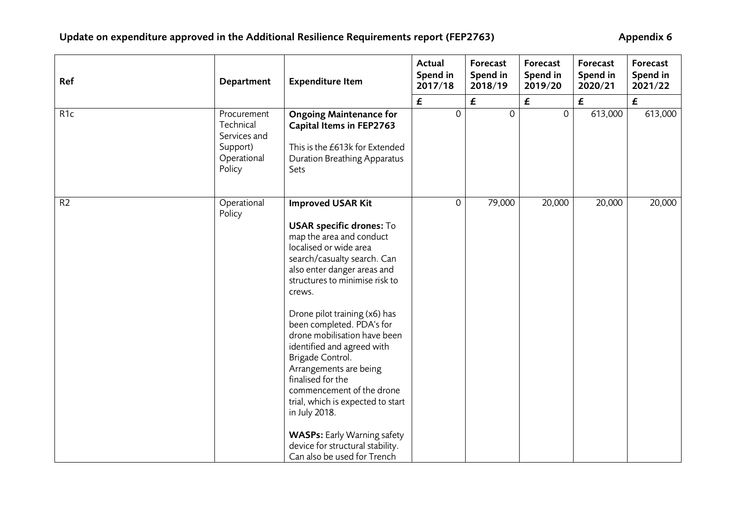| Ref             | Department                                                                    | <b>Expenditure Item</b>                                                                                                                                                                                                                                                                                                                                                                                                                                                                                                                                                                                                | Actual<br>Spend in<br>2017/18 | Forecast<br>Spend in<br>2018/19 | Forecast<br>Spend in<br>2019/20 | Forecast<br>Spend in<br>2020/21 | Forecast<br>Spend in<br>2021/22 |
|-----------------|-------------------------------------------------------------------------------|------------------------------------------------------------------------------------------------------------------------------------------------------------------------------------------------------------------------------------------------------------------------------------------------------------------------------------------------------------------------------------------------------------------------------------------------------------------------------------------------------------------------------------------------------------------------------------------------------------------------|-------------------------------|---------------------------------|---------------------------------|---------------------------------|---------------------------------|
|                 |                                                                               |                                                                                                                                                                                                                                                                                                                                                                                                                                                                                                                                                                                                                        | $\pmb{\mathit{f}}$            | £                               | £                               | $\pmb{\mathit{f}}$              | $\boldsymbol{\mathsf{f}}$       |
| R <sub>1c</sub> | Procurement<br>Technical<br>Services and<br>Support)<br>Operational<br>Policy | <b>Ongoing Maintenance for</b><br>Capital Items in FEP2763<br>This is the £613k for Extended<br>Duration Breathing Apparatus<br>Sets                                                                                                                                                                                                                                                                                                                                                                                                                                                                                   | $\mathsf{O}$                  | $\mathbf 0$                     | $\mathbf 0$                     | 613,000                         | 613,000                         |
| R <sub>2</sub>  | Operational<br>Policy                                                         | <b>Improved USAR Kit</b><br><b>USAR specific drones: To</b><br>map the area and conduct<br>localised or wide area<br>search/casualty search. Can<br>also enter danger areas and<br>structures to minimise risk to<br>crews.<br>Drone pilot training (x6) has<br>been completed. PDA's for<br>drone mobilisation have been<br>identified and agreed with<br>Brigade Control.<br>Arrangements are being<br>finalised for the<br>commencement of the drone<br>trial, which is expected to start<br>in July 2018.<br><b>WASPs:</b> Early Warning safety<br>device for structural stability.<br>Can also be used for Trench | $\mathsf{O}$                  | 79,000                          | 20,000                          | 20,000                          | 20,000                          |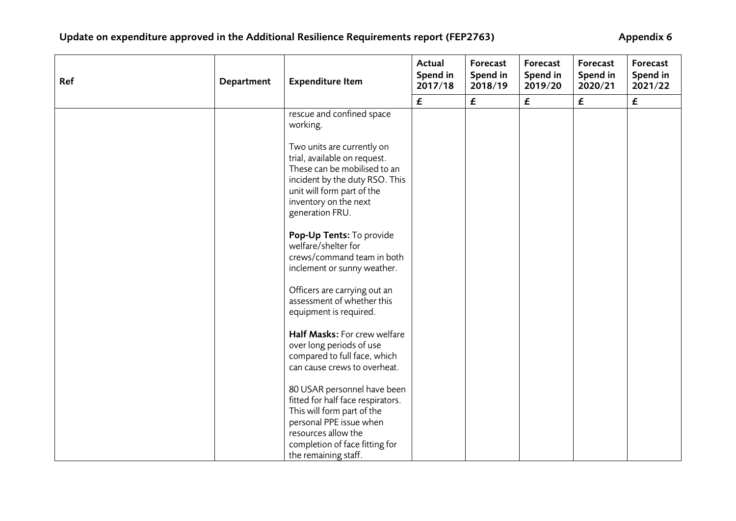| Ref | Department | <b>Expenditure Item</b>                                                                                                                                                                                    | Actual<br>Spend in<br>2017/18 | Forecast<br>Spend in<br>2018/19 | Forecast<br>Spend in<br>2019/20 | Forecast<br>Spend in<br>2020/21 | Forecast<br>Spend in<br>2021/22 |
|-----|------------|------------------------------------------------------------------------------------------------------------------------------------------------------------------------------------------------------------|-------------------------------|---------------------------------|---------------------------------|---------------------------------|---------------------------------|
|     |            |                                                                                                                                                                                                            | $\pmb{\mathit{f}}$            | $\pmb{\mathit{f}}$              | £                               | $\pmb{\mathit{f}}$              | $\pmb{\mathit{f}}$              |
|     |            | rescue and confined space<br>working.                                                                                                                                                                      |                               |                                 |                                 |                                 |                                 |
|     |            | Two units are currently on<br>trial, available on request.<br>These can be mobilised to an<br>incident by the duty RSO. This<br>unit will form part of the<br>inventory on the next<br>generation FRU.     |                               |                                 |                                 |                                 |                                 |
|     |            | Pop-Up Tents: To provide<br>welfare/shelter for<br>crews/command team in both<br>inclement or sunny weather.                                                                                               |                               |                                 |                                 |                                 |                                 |
|     |            | Officers are carrying out an<br>assessment of whether this<br>equipment is required.                                                                                                                       |                               |                                 |                                 |                                 |                                 |
|     |            | Half Masks: For crew welfare<br>over long periods of use<br>compared to full face, which<br>can cause crews to overheat.                                                                                   |                               |                                 |                                 |                                 |                                 |
|     |            | 80 USAR personnel have been<br>fitted for half face respirators.<br>This will form part of the<br>personal PPE issue when<br>resources allow the<br>completion of face fitting for<br>the remaining staff. |                               |                                 |                                 |                                 |                                 |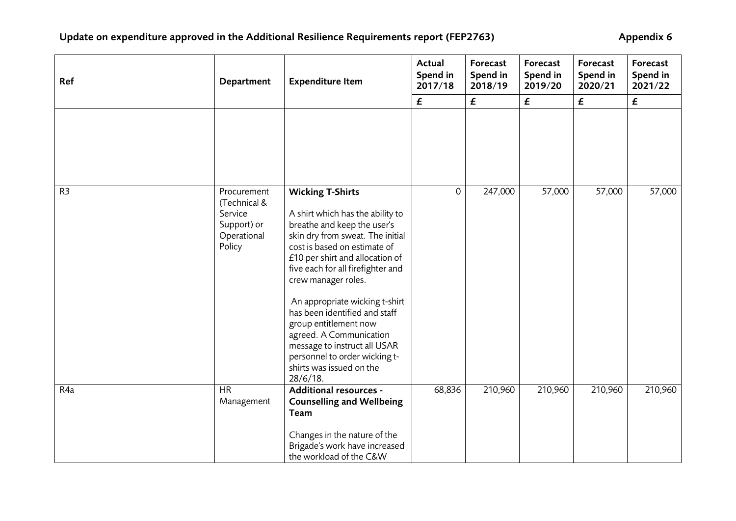| Ref            | Department                                                                     | <b>Expenditure Item</b>                                                                                                                                                                                                                                                                                                                                                                                                                                                                          | Actual<br>Spend in<br>2017/18 | Forecast<br>Spend in<br>2018/19 | Forecast<br>Spend in<br>2019/20 | Forecast<br>Spend in<br>2020/21 | Forecast<br>Spend in<br>2021/22 |
|----------------|--------------------------------------------------------------------------------|--------------------------------------------------------------------------------------------------------------------------------------------------------------------------------------------------------------------------------------------------------------------------------------------------------------------------------------------------------------------------------------------------------------------------------------------------------------------------------------------------|-------------------------------|---------------------------------|---------------------------------|---------------------------------|---------------------------------|
|                |                                                                                |                                                                                                                                                                                                                                                                                                                                                                                                                                                                                                  | £                             | $\boldsymbol{f}$                | £                               | £                               | $\boldsymbol{\mathsf{f}}$       |
|                |                                                                                |                                                                                                                                                                                                                                                                                                                                                                                                                                                                                                  |                               |                                 |                                 |                                 |                                 |
| R <sub>3</sub> | Procurement<br>(Technical &<br>Service<br>Support) or<br>Operational<br>Policy | <b>Wicking T-Shirts</b><br>A shirt which has the ability to<br>breathe and keep the user's<br>skin dry from sweat. The initial<br>cost is based on estimate of<br>£10 per shirt and allocation of<br>five each for all firefighter and<br>crew manager roles.<br>An appropriate wicking t-shirt<br>has been identified and staff<br>group entitlement now<br>agreed. A Communication<br>message to instruct all USAR<br>personnel to order wicking t-<br>shirts was issued on the<br>$28/6/18$ . | $\overline{O}$                | 247,000                         | 57,000                          | 57,000                          | 57,000                          |
| R4a            | <b>HR</b><br>Management                                                        | Additional resources -<br><b>Counselling and Wellbeing</b><br>Team<br>Changes in the nature of the<br>Brigade's work have increased<br>the workload of the C&W                                                                                                                                                                                                                                                                                                                                   | 68,836                        | 210,960                         | 210,960                         | 210,960                         | 210,960                         |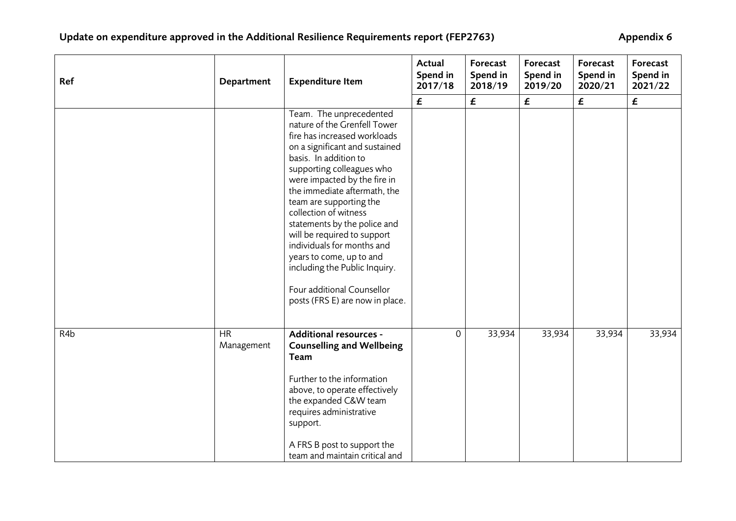| Ref | Department              | <b>Expenditure Item</b>                                                                                                                                                                                                                                                                                                                                                                                                                                                                                                        | Actual<br>Spend in<br>2017/18 | Forecast<br>Spend in<br>2018/19 | Forecast<br>Spend in<br>2019/20 | Forecast<br>Spend in<br>2020/21 | Forecast<br>Spend in<br>2021/22 |
|-----|-------------------------|--------------------------------------------------------------------------------------------------------------------------------------------------------------------------------------------------------------------------------------------------------------------------------------------------------------------------------------------------------------------------------------------------------------------------------------------------------------------------------------------------------------------------------|-------------------------------|---------------------------------|---------------------------------|---------------------------------|---------------------------------|
|     |                         |                                                                                                                                                                                                                                                                                                                                                                                                                                                                                                                                | $\pmb{\mathit{f}}$            | $\pmb{\mathit{f}}$              | £                               | £                               | $\pmb{\mathit{f}}$              |
|     |                         | Team. The unprecedented<br>nature of the Grenfell Tower<br>fire has increased workloads<br>on a significant and sustained<br>basis. In addition to<br>supporting colleagues who<br>were impacted by the fire in<br>the immediate aftermath, the<br>team are supporting the<br>collection of witness<br>statements by the police and<br>will be required to support<br>individuals for months and<br>years to come, up to and<br>including the Public Inquiry.<br>Four additional Counsellor<br>posts (FRS E) are now in place. |                               |                                 |                                 |                                 |                                 |
| R4b | <b>HR</b><br>Management | Additional resources -<br><b>Counselling and Wellbeing</b><br>Team<br>Further to the information<br>above, to operate effectively<br>the expanded C&W team<br>requires administrative<br>support.<br>A FRS B post to support the<br>team and maintain critical and                                                                                                                                                                                                                                                             | 0                             | 33,934                          | 33,934                          | 33,934                          | 33,934                          |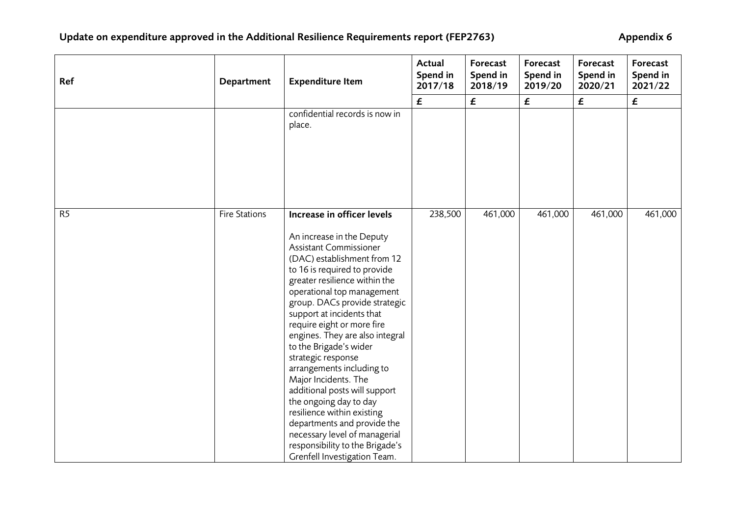| Ref            | Department           | <b>Expenditure Item</b>                                                                                                                                                                                                                                                                                                                                                                                                                                                                                                                                                                                      | Actual<br>Spend in<br>2017/18 | Forecast<br>Spend in<br>2018/19 | Forecast<br>Spend in<br>2019/20 | Forecast<br>Spend in<br>2020/21 | Forecast<br>Spend in<br>2021/22 |
|----------------|----------------------|--------------------------------------------------------------------------------------------------------------------------------------------------------------------------------------------------------------------------------------------------------------------------------------------------------------------------------------------------------------------------------------------------------------------------------------------------------------------------------------------------------------------------------------------------------------------------------------------------------------|-------------------------------|---------------------------------|---------------------------------|---------------------------------|---------------------------------|
|                |                      |                                                                                                                                                                                                                                                                                                                                                                                                                                                                                                                                                                                                              | $\pmb{\mathit{f}}$            | $\pmb{\mathit{f}}$              | $\pmb{\mathit{f}}$              | £                               | $\pmb{\mathit{f}}$              |
|                |                      | confidential records is now in<br>place.                                                                                                                                                                                                                                                                                                                                                                                                                                                                                                                                                                     |                               |                                 |                                 |                                 |                                 |
| R <sub>5</sub> | <b>Fire Stations</b> | Increase in officer levels<br>An increase in the Deputy<br>Assistant Commissioner<br>(DAC) establishment from 12<br>to 16 is required to provide<br>greater resilience within the<br>operational top management<br>group. DACs provide strategic<br>support at incidents that<br>require eight or more fire<br>engines. They are also integral<br>to the Brigade's wider<br>strategic response<br>arrangements including to<br>Major Incidents. The<br>additional posts will support<br>the ongoing day to day<br>resilience within existing<br>departments and provide the<br>necessary level of managerial | 238,500                       | 461,000                         | 461,000                         | 461,000                         | 461,000                         |
|                |                      | responsibility to the Brigade's<br>Grenfell Investigation Team.                                                                                                                                                                                                                                                                                                                                                                                                                                                                                                                                              |                               |                                 |                                 |                                 |                                 |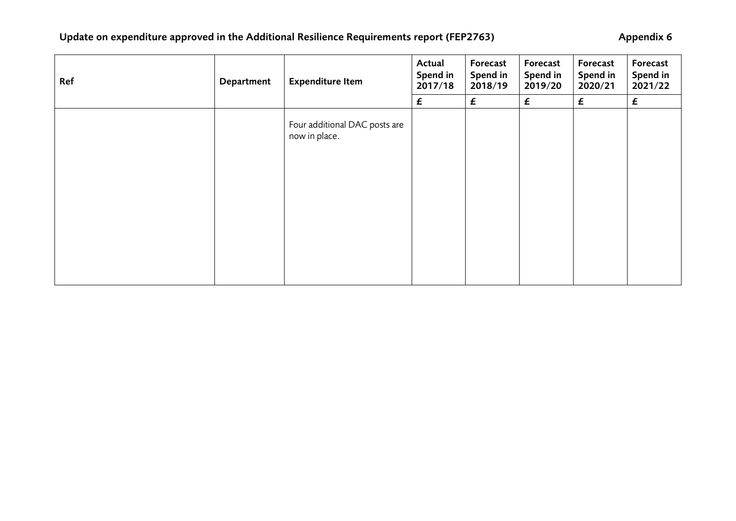# Update on expenditure approved in the Additional Resilience Requirements report (FEP2763) **Appendix 6**

| Ref | Department | <b>Expenditure Item</b>                        | Actual<br>Spend in<br>2017/18 | Forecast<br>Spend in<br>2018/19 | Forecast<br>Spend in<br>2019/20 | Forecast<br>Spend in<br>2020/21 | Forecast<br>Spend in<br>2021/22 |
|-----|------------|------------------------------------------------|-------------------------------|---------------------------------|---------------------------------|---------------------------------|---------------------------------|
|     |            |                                                | £                             | £                               | $\boldsymbol{f}$                | £                               | £                               |
|     |            | Four additional DAC posts are<br>now in place. |                               |                                 |                                 |                                 |                                 |
|     |            |                                                |                               |                                 |                                 |                                 |                                 |
|     |            |                                                |                               |                                 |                                 |                                 |                                 |
|     |            |                                                |                               |                                 |                                 |                                 |                                 |
|     |            |                                                |                               |                                 |                                 |                                 |                                 |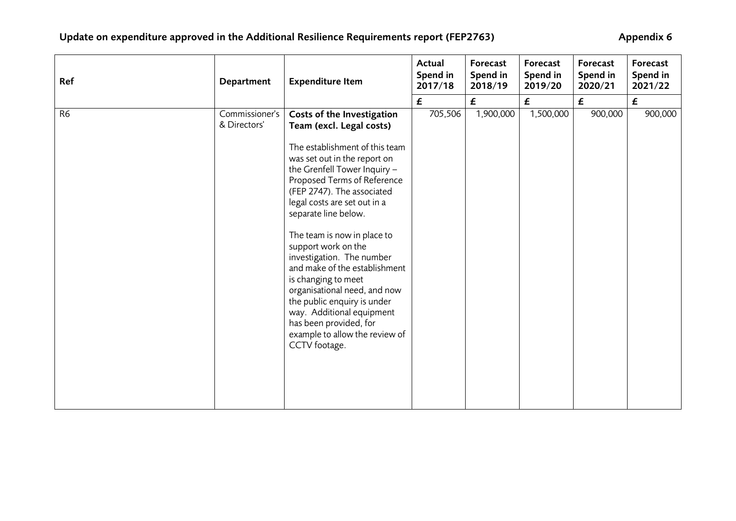| Ref            | Department                     | <b>Expenditure Item</b>                                                                                                                                                                                                                                                                                                                                                                                                                                                                                                                                                                           | Actual<br>Spend in<br>2017/18 | Forecast<br>Spend in<br>2018/19 | Forecast<br>Spend in<br>2019/20 | Forecast<br>Spend in<br>2020/21 | Forecast<br>Spend in<br>2021/22 |
|----------------|--------------------------------|---------------------------------------------------------------------------------------------------------------------------------------------------------------------------------------------------------------------------------------------------------------------------------------------------------------------------------------------------------------------------------------------------------------------------------------------------------------------------------------------------------------------------------------------------------------------------------------------------|-------------------------------|---------------------------------|---------------------------------|---------------------------------|---------------------------------|
|                |                                |                                                                                                                                                                                                                                                                                                                                                                                                                                                                                                                                                                                                   | £                             | £                               | £                               | $\boldsymbol{f}$                | $\boldsymbol{f}$                |
| R <sub>6</sub> | Commissioner's<br>& Directors' | Costs of the Investigation<br>Team (excl. Legal costs)<br>The establishment of this team<br>was set out in the report on<br>the Grenfell Tower Inquiry -<br>Proposed Terms of Reference<br>(FEP 2747). The associated<br>legal costs are set out in a<br>separate line below.<br>The team is now in place to<br>support work on the<br>investigation. The number<br>and make of the establishment<br>is changing to meet<br>organisational need, and now<br>the public enquiry is under<br>way. Additional equipment<br>has been provided, for<br>example to allow the review of<br>CCTV footage. | 705,506                       | 1,900,000                       | 1,500,000                       | 900,000                         | 900,000                         |
|                |                                |                                                                                                                                                                                                                                                                                                                                                                                                                                                                                                                                                                                                   |                               |                                 |                                 |                                 |                                 |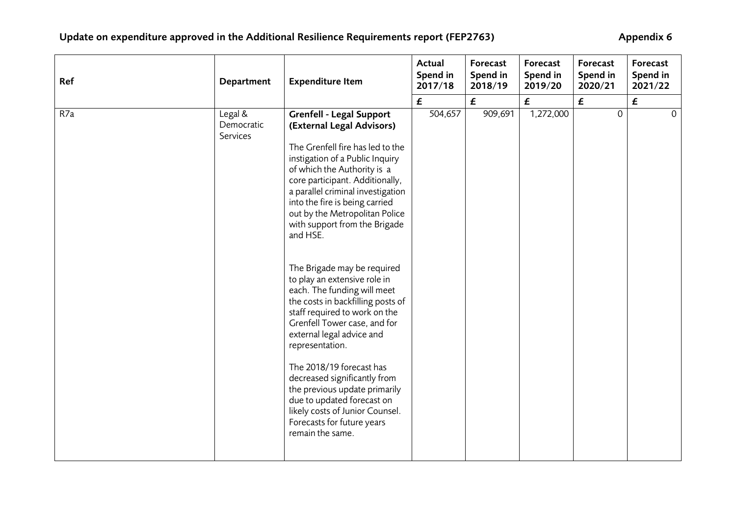| Ref | Department                        | <b>Expenditure Item</b>                                                                                                                                                                                                                                                                                                                                                                                                                                                                                                                                                                                                                                                                                                                                                       | <b>Actual</b><br>Spend in<br>2017/18 | Forecast<br>Spend in<br>2018/19 | Forecast<br>Spend in<br>2019/20 | Forecast<br>Spend in<br>2020/21 | Forecast<br>Spend in<br>2021/22      |
|-----|-----------------------------------|-------------------------------------------------------------------------------------------------------------------------------------------------------------------------------------------------------------------------------------------------------------------------------------------------------------------------------------------------------------------------------------------------------------------------------------------------------------------------------------------------------------------------------------------------------------------------------------------------------------------------------------------------------------------------------------------------------------------------------------------------------------------------------|--------------------------------------|---------------------------------|---------------------------------|---------------------------------|--------------------------------------|
|     |                                   |                                                                                                                                                                                                                                                                                                                                                                                                                                                                                                                                                                                                                                                                                                                                                                               | $\pmb{\mathit{f}}$                   | £                               | £                               | £                               |                                      |
| R7a | Legal &<br>Democratic<br>Services | <b>Grenfell - Legal Support</b><br>(External Legal Advisors)<br>The Grenfell fire has led to the<br>instigation of a Public Inquiry<br>of which the Authority is a<br>core participant. Additionally,<br>a parallel criminal investigation<br>into the fire is being carried<br>out by the Metropolitan Police<br>with support from the Brigade<br>and HSE.<br>The Brigade may be required<br>to play an extensive role in<br>each. The funding will meet<br>the costs in backfilling posts of<br>staff required to work on the<br>Grenfell Tower case, and for<br>external legal advice and<br>representation.<br>The 2018/19 forecast has<br>decreased significantly from<br>the previous update primarily<br>due to updated forecast on<br>likely costs of Junior Counsel. | 504,657                              | 909,691                         | 1,272,000                       | $\mathbf 0$                     | $\pmb{\mathit{f}}$<br>$\overline{0}$ |
|     |                                   | Forecasts for future years<br>remain the same.                                                                                                                                                                                                                                                                                                                                                                                                                                                                                                                                                                                                                                                                                                                                |                                      |                                 |                                 |                                 |                                      |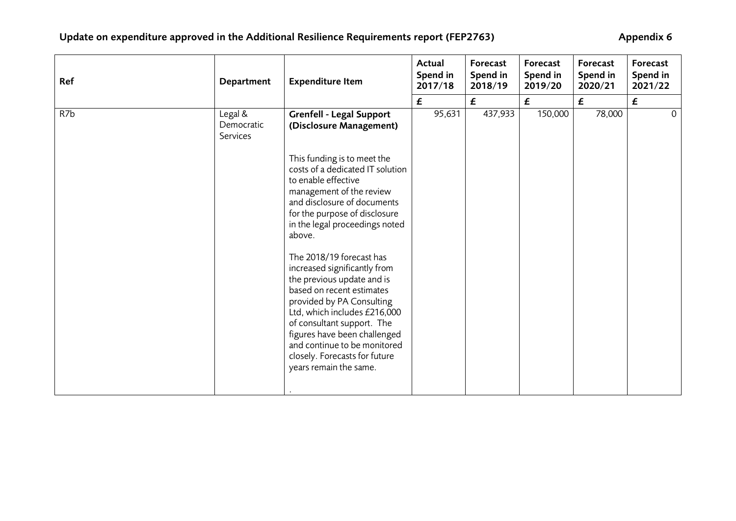| Ref | Department                        | <b>Expenditure Item</b>                                                                                                                                                                                                                                                                                                                                                                                                                                                          | Actual<br>Spend in<br>2017/18 | Forecast<br>Spend in<br>2018/19 | Forecast<br>Spend in<br>2019/20 | Forecast<br>Spend in<br>2020/21   | Forecast<br>Spend in<br>2021/22 |
|-----|-----------------------------------|----------------------------------------------------------------------------------------------------------------------------------------------------------------------------------------------------------------------------------------------------------------------------------------------------------------------------------------------------------------------------------------------------------------------------------------------------------------------------------|-------------------------------|---------------------------------|---------------------------------|-----------------------------------|---------------------------------|
|     |                                   |                                                                                                                                                                                                                                                                                                                                                                                                                                                                                  | £                             | $\pmb{\mathit{f}}$              | $\boldsymbol{f}$                |                                   | £                               |
| R7b | Legal &<br>Democratic<br>Services | <b>Grenfell - Legal Support</b><br>(Disclosure Management)<br>This funding is to meet the<br>costs of a dedicated IT solution<br>to enable effective<br>management of the review<br>and disclosure of documents<br>for the purpose of disclosure<br>in the legal proceedings noted<br>above.<br>The 2018/19 forecast has<br>increased significantly from<br>the previous update and is<br>based on recent estimates<br>provided by PA Consulting<br>Ltd, which includes £216,000 | 95,631                        | 437,933                         | 150,000                         | $\boldsymbol{\epsilon}$<br>78,000 | $\overline{0}$                  |
|     |                                   | of consultant support. The<br>figures have been challenged<br>and continue to be monitored<br>closely. Forecasts for future<br>years remain the same.                                                                                                                                                                                                                                                                                                                            |                               |                                 |                                 |                                   |                                 |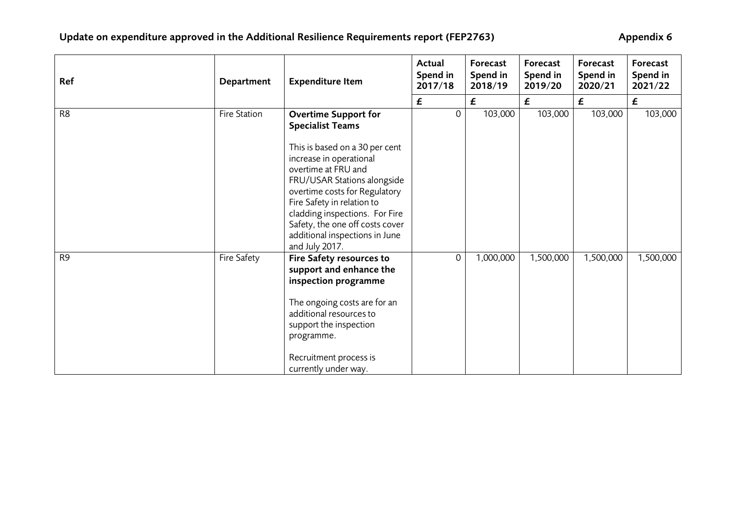| Ref            | Department   | <b>Expenditure Item</b>                                                                                                                                                                                                                                                                                 | Actual<br>Spend in<br>2017/18 | Forecast<br>Spend in<br>2018/19 | Forecast<br>Spend in<br>2019/20 | Forecast<br>Spend in<br>2020/21 | Forecast<br>Spend in<br>2021/22 |
|----------------|--------------|---------------------------------------------------------------------------------------------------------------------------------------------------------------------------------------------------------------------------------------------------------------------------------------------------------|-------------------------------|---------------------------------|---------------------------------|---------------------------------|---------------------------------|
|                |              |                                                                                                                                                                                                                                                                                                         | £                             | £                               | £                               | £                               | £                               |
| R <sub>8</sub> | Fire Station | <b>Overtime Support for</b><br><b>Specialist Teams</b>                                                                                                                                                                                                                                                  | $\overline{0}$                | 103,000                         | 103,000                         | 103,000                         | 103,000                         |
|                |              | This is based on a 30 per cent<br>increase in operational<br>overtime at FRU and<br>FRU/USAR Stations alongside<br>overtime costs for Regulatory<br>Fire Safety in relation to<br>cladding inspections. For Fire<br>Safety, the one off costs cover<br>additional inspections in June<br>and July 2017. |                               |                                 |                                 |                                 |                                 |
| R <sub>9</sub> | Fire Safety  | Fire Safety resources to<br>support and enhance the<br>inspection programme<br>The ongoing costs are for an<br>additional resources to<br>support the inspection<br>programme.<br>Recruitment process is<br>currently under way.                                                                        | 0                             | 1,000,000                       | 1,500,000                       | 1,500,000                       | 1,500,000                       |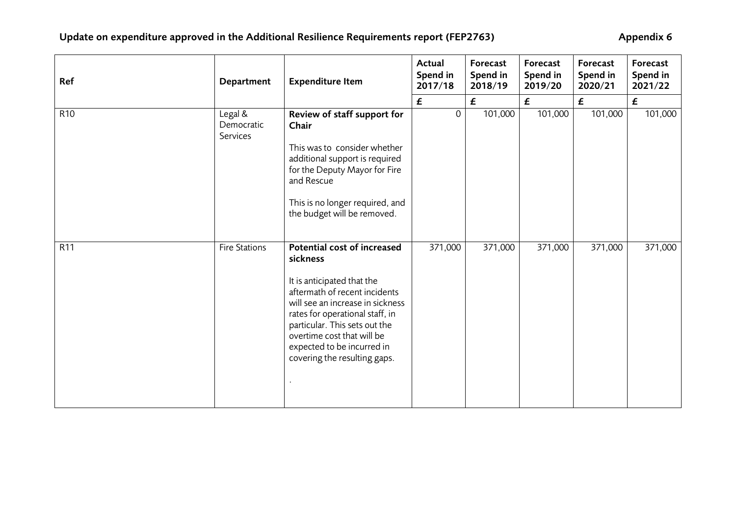| Ref             | Department                        | <b>Expenditure Item</b>                                                                                                                                                                                                                                         | Actual<br>Spend in<br>2017/18 | Forecast<br>Spend in<br>2018/19 | Forecast<br>Spend in<br>2019/20 | Forecast<br>Spend in<br>2020/21 | Forecast<br>Spend in<br>2021/22 |
|-----------------|-----------------------------------|-----------------------------------------------------------------------------------------------------------------------------------------------------------------------------------------------------------------------------------------------------------------|-------------------------------|---------------------------------|---------------------------------|---------------------------------|---------------------------------|
|                 |                                   |                                                                                                                                                                                                                                                                 | $\boldsymbol{f}$              | $\pmb{\mathit{f}}$              | £                               | $\boldsymbol{f}$                | $\boldsymbol{\mathsf{f}}$       |
| R <sub>10</sub> | Legal &<br>Democratic<br>Services | Review of staff support for<br>Chair<br>This was to consider whether                                                                                                                                                                                            | $\mathbf 0$                   | 101,000                         | 101,000                         | 101,000                         | 101,000                         |
|                 |                                   | additional support is required<br>for the Deputy Mayor for Fire<br>and Rescue                                                                                                                                                                                   |                               |                                 |                                 |                                 |                                 |
|                 |                                   | This is no longer required, and<br>the budget will be removed.                                                                                                                                                                                                  |                               |                                 |                                 |                                 |                                 |
| R11             | Fire Stations                     | Potential cost of increased<br>sickness                                                                                                                                                                                                                         | 371,000                       | 371,000                         | 371,000                         | 371,000                         | 371,000                         |
|                 |                                   | It is anticipated that the<br>aftermath of recent incidents<br>will see an increase in sickness<br>rates for operational staff, in<br>particular. This sets out the<br>overtime cost that will be<br>expected to be incurred in<br>covering the resulting gaps. |                               |                                 |                                 |                                 |                                 |
|                 |                                   |                                                                                                                                                                                                                                                                 |                               |                                 |                                 |                                 |                                 |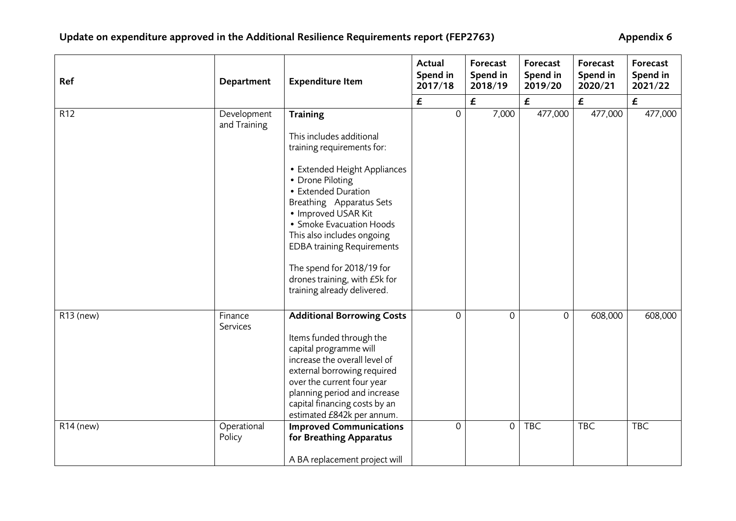| Ref         | Department                  | <b>Expenditure Item</b>                                                                                                                                                                                                                                                                                                                                                                             | Actual<br>Spend in<br>2017/18 | Forecast<br>Spend in<br>2018/19 | Forecast<br>Spend in<br>2019/20 | Forecast<br>Spend in<br>2020/21 | Forecast<br>Spend in<br>2021/22 |
|-------------|-----------------------------|-----------------------------------------------------------------------------------------------------------------------------------------------------------------------------------------------------------------------------------------------------------------------------------------------------------------------------------------------------------------------------------------------------|-------------------------------|---------------------------------|---------------------------------|---------------------------------|---------------------------------|
|             |                             |                                                                                                                                                                                                                                                                                                                                                                                                     | £                             | £                               | £                               | $\boldsymbol{\epsilon}$         | $\boldsymbol{f}$                |
| R12         | Development<br>and Training | <b>Training</b><br>This includes additional<br>training requirements for:<br>• Extended Height Appliances<br>• Drone Piloting<br>• Extended Duration<br>Breathing Apparatus Sets<br>• Improved USAR Kit<br>• Smoke Evacuation Hoods<br>This also includes ongoing<br><b>EDBA training Requirements</b><br>The spend for 2018/19 for<br>drones training, with £5k for<br>training already delivered. | $\mathsf{O}$                  | 7,000                           | 477,000                         | 477,000                         | 477,000                         |
| R13 (new)   | Finance<br>Services         | <b>Additional Borrowing Costs</b><br>Items funded through the<br>capital programme will<br>increase the overall level of<br>external borrowing required<br>over the current four year<br>planning period and increase<br>capital financing costs by an<br>estimated £842k per annum.                                                                                                                | 0                             | $\Omega$                        | $\Omega$                        | 608,000                         | 608,000                         |
| $R14$ (new) | Operational<br>Policy       | <b>Improved Communications</b><br>for Breathing Apparatus<br>A BA replacement project will                                                                                                                                                                                                                                                                                                          | 0                             | $\overline{0}$                  | <b>TBC</b>                      | <b>TBC</b>                      | <b>TBC</b>                      |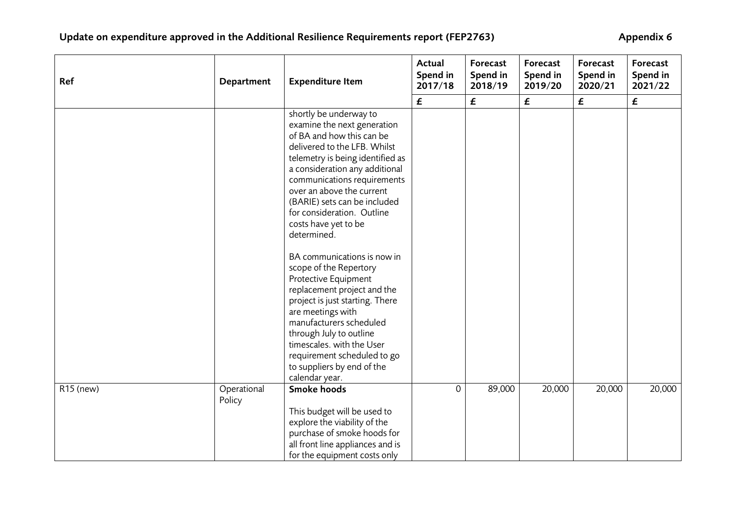| Ref       | Department            | <b>Expenditure Item</b>                                                                                                                                                                                                                                                                                                                                                                                            | Actual<br>Spend in<br>2017/18 | Forecast<br>Spend in<br>2018/19 | Forecast<br>Spend in<br>2019/20 | Forecast<br>Spend in<br>2020/21 | Forecast<br>Spend in<br>2021/22 |
|-----------|-----------------------|--------------------------------------------------------------------------------------------------------------------------------------------------------------------------------------------------------------------------------------------------------------------------------------------------------------------------------------------------------------------------------------------------------------------|-------------------------------|---------------------------------|---------------------------------|---------------------------------|---------------------------------|
|           |                       |                                                                                                                                                                                                                                                                                                                                                                                                                    | $\pmb{\mathit{f}}$            | $\pmb{\mathit{f}}$              | $\pmb{\mathit{f}}$              | £                               | £                               |
|           |                       | shortly be underway to<br>examine the next generation<br>of BA and how this can be<br>delivered to the LFB. Whilst<br>telemetry is being identified as<br>a consideration any additional<br>communications requirements<br>over an above the current<br>(BARIE) sets can be included<br>for consideration. Outline<br>costs have yet to be<br>determined.<br>BA communications is now in<br>scope of the Repertory |                               |                                 |                                 |                                 |                                 |
|           |                       | Protective Equipment<br>replacement project and the<br>project is just starting. There<br>are meetings with<br>manufacturers scheduled<br>through July to outline<br>timescales, with the User<br>requirement scheduled to go<br>to suppliers by end of the<br>calendar year.                                                                                                                                      |                               |                                 |                                 |                                 |                                 |
| R15 (new) | Operational<br>Policy | <b>Smoke hoods</b><br>This budget will be used to<br>explore the viability of the<br>purchase of smoke hoods for<br>all front line appliances and is<br>for the equipment costs only                                                                                                                                                                                                                               | 0                             | 89,000                          | 20,000                          | 20,000                          | 20,000                          |